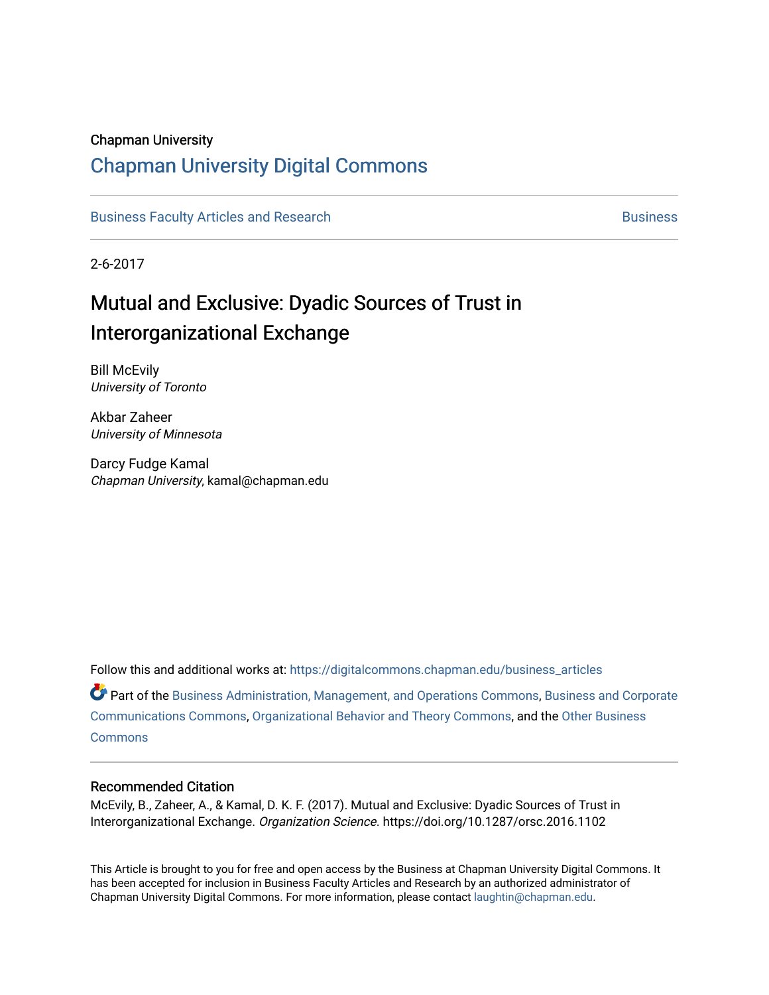## Chapman University

## [Chapman University Digital Commons](https://digitalcommons.chapman.edu/)

[Business Faculty Articles and Research](https://digitalcommons.chapman.edu/business_articles) [Business](https://digitalcommons.chapman.edu/business) **Business** Business

2-6-2017

# Mutual and Exclusive: Dyadic Sources of Trust in Interorganizational Exchange

Bill McEvily University of Toronto

Akbar Zaheer University of Minnesota

Darcy Fudge Kamal Chapman University, kamal@chapman.edu

Follow this and additional works at: [https://digitalcommons.chapman.edu/business\\_articles](https://digitalcommons.chapman.edu/business_articles?utm_source=digitalcommons.chapman.edu%2Fbusiness_articles%2F57&utm_medium=PDF&utm_campaign=PDFCoverPages) 

Part of the [Business Administration, Management, and Operations Commons](http://network.bepress.com/hgg/discipline/623?utm_source=digitalcommons.chapman.edu%2Fbusiness_articles%2F57&utm_medium=PDF&utm_campaign=PDFCoverPages), [Business and Corporate](http://network.bepress.com/hgg/discipline/627?utm_source=digitalcommons.chapman.edu%2Fbusiness_articles%2F57&utm_medium=PDF&utm_campaign=PDFCoverPages)  [Communications Commons,](http://network.bepress.com/hgg/discipline/627?utm_source=digitalcommons.chapman.edu%2Fbusiness_articles%2F57&utm_medium=PDF&utm_campaign=PDFCoverPages) [Organizational Behavior and Theory Commons](http://network.bepress.com/hgg/discipline/639?utm_source=digitalcommons.chapman.edu%2Fbusiness_articles%2F57&utm_medium=PDF&utm_campaign=PDFCoverPages), and the [Other Business](http://network.bepress.com/hgg/discipline/647?utm_source=digitalcommons.chapman.edu%2Fbusiness_articles%2F57&utm_medium=PDF&utm_campaign=PDFCoverPages)  **[Commons](http://network.bepress.com/hgg/discipline/647?utm_source=digitalcommons.chapman.edu%2Fbusiness_articles%2F57&utm_medium=PDF&utm_campaign=PDFCoverPages)** 

## Recommended Citation

McEvily, B., Zaheer, A., & Kamal, D. K. F. (2017). Mutual and Exclusive: Dyadic Sources of Trust in Interorganizational Exchange. Organization Science. https://doi.org/10.1287/orsc.2016.1102

This Article is brought to you for free and open access by the Business at Chapman University Digital Commons. It has been accepted for inclusion in Business Faculty Articles and Research by an authorized administrator of Chapman University Digital Commons. For more information, please contact [laughtin@chapman.edu](mailto:laughtin@chapman.edu).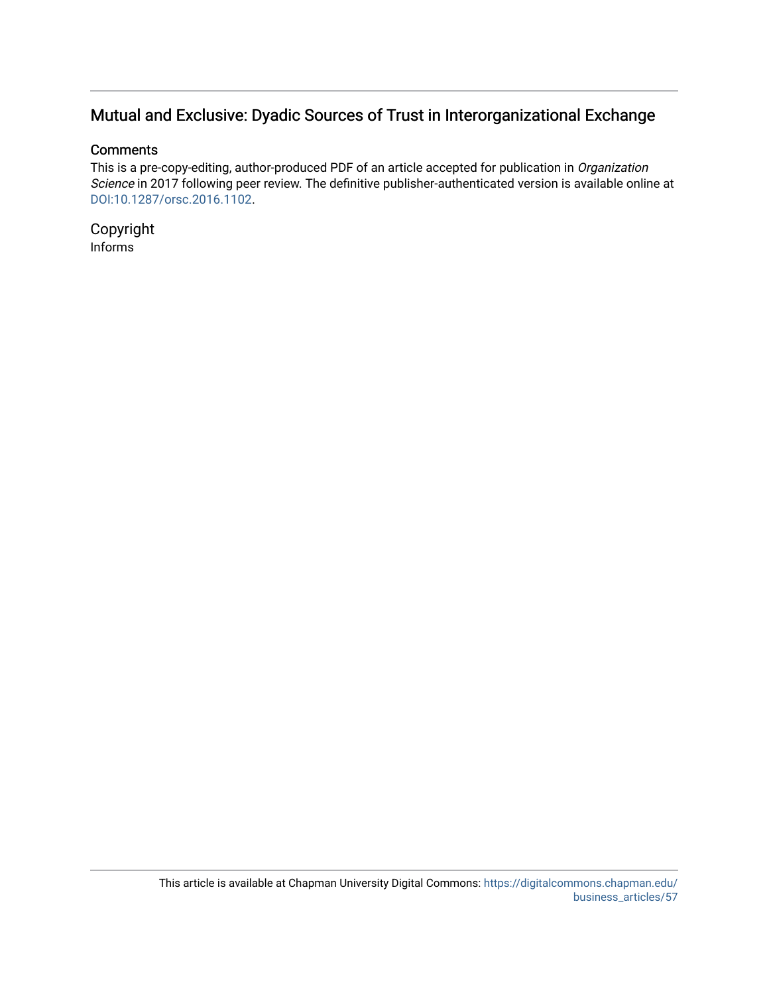## Mutual and Exclusive: Dyadic Sources of Trust in Interorganizational Exchange

## **Comments**

This is a pre-copy-editing, author-produced PDF of an article accepted for publication in Organization Science in 2017 following peer review. The definitive publisher-authenticated version is available online at [DOI:10.1287/orsc.2016.1102.](http://dx.doi.org/10.1287/orsc.2016.1102)

Copyright Informs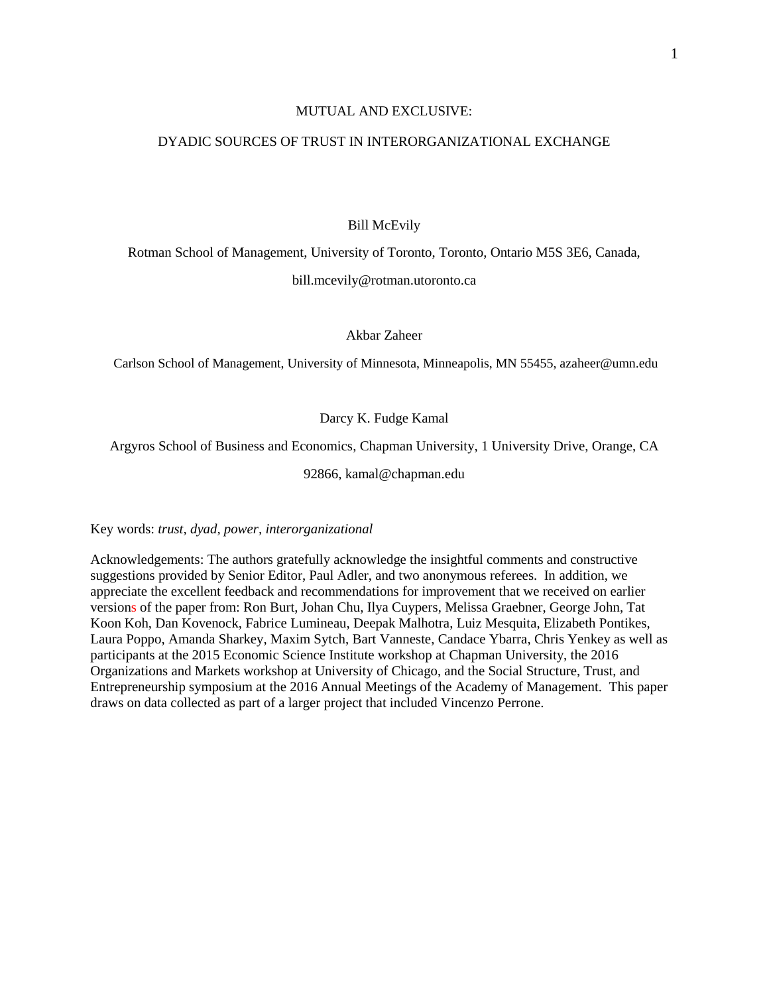## MUTUAL AND EXCLUSIVE:

## DYADIC SOURCES OF TRUST IN INTERORGANIZATIONAL EXCHANGE

#### Bill McEvily

Rotman School of Management, University of Toronto, Toronto, Ontario M5S 3E6, Canada, bill.mcevily@rotman.utoronto.ca

Akbar Zaheer

Carlson School of Management, University of Minnesota, Minneapolis, MN 55455, azaheer@umn.edu

Darcy K. Fudge Kamal

Argyros School of Business and Economics, Chapman University, 1 University Drive, Orange, CA

92866, kamal@chapman.edu

Key words: *trust, dyad, power, interorganizational*

Acknowledgements: The authors gratefully acknowledge the insightful comments and constructive suggestions provided by Senior Editor, Paul Adler, and two anonymous referees. In addition, we appreciate the excellent feedback and recommendations for improvement that we received on earlier versions of the paper from: Ron Burt, Johan Chu, Ilya Cuypers, Melissa Graebner, George John, Tat Koon Koh, Dan Kovenock, Fabrice Lumineau, Deepak Malhotra, Luiz Mesquita, Elizabeth Pontikes, Laura Poppo, Amanda Sharkey, Maxim Sytch, Bart Vanneste, Candace Ybarra, Chris Yenkey as well as participants at the 2015 Economic Science Institute workshop at Chapman University, the 2016 Organizations and Markets workshop at University of Chicago, and the Social Structure, Trust, and Entrepreneurship symposium at the 2016 Annual Meetings of the Academy of Management. This paper draws on data collected as part of a larger project that included Vincenzo Perrone.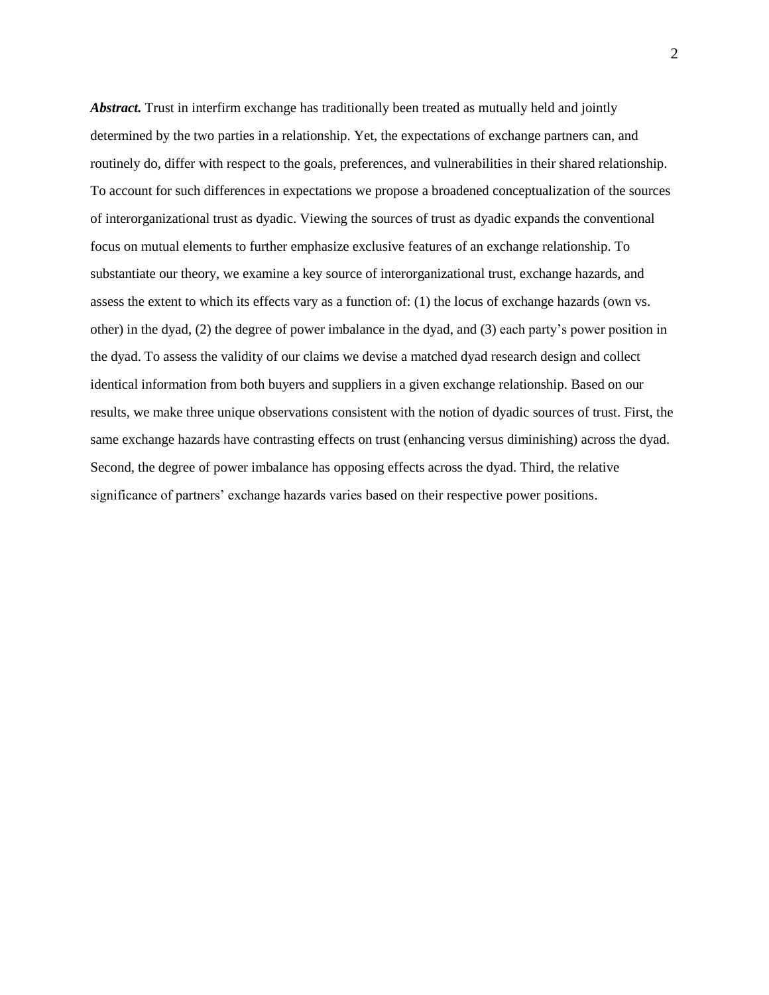*Abstract.* Trust in interfirm exchange has traditionally been treated as mutually held and jointly determined by the two parties in a relationship. Yet, the expectations of exchange partners can, and routinely do, differ with respect to the goals, preferences, and vulnerabilities in their shared relationship. To account for such differences in expectations we propose a broadened conceptualization of the sources of interorganizational trust as dyadic. Viewing the sources of trust as dyadic expands the conventional focus on mutual elements to further emphasize exclusive features of an exchange relationship. To substantiate our theory, we examine a key source of interorganizational trust, exchange hazards, and assess the extent to which its effects vary as a function of: (1) the locus of exchange hazards (own vs. other) in the dyad, (2) the degree of power imbalance in the dyad, and (3) each party's power position in the dyad. To assess the validity of our claims we devise a matched dyad research design and collect identical information from both buyers and suppliers in a given exchange relationship. Based on our results, we make three unique observations consistent with the notion of dyadic sources of trust. First, the same exchange hazards have contrasting effects on trust (enhancing versus diminishing) across the dyad. Second, the degree of power imbalance has opposing effects across the dyad. Third, the relative significance of partners' exchange hazards varies based on their respective power positions.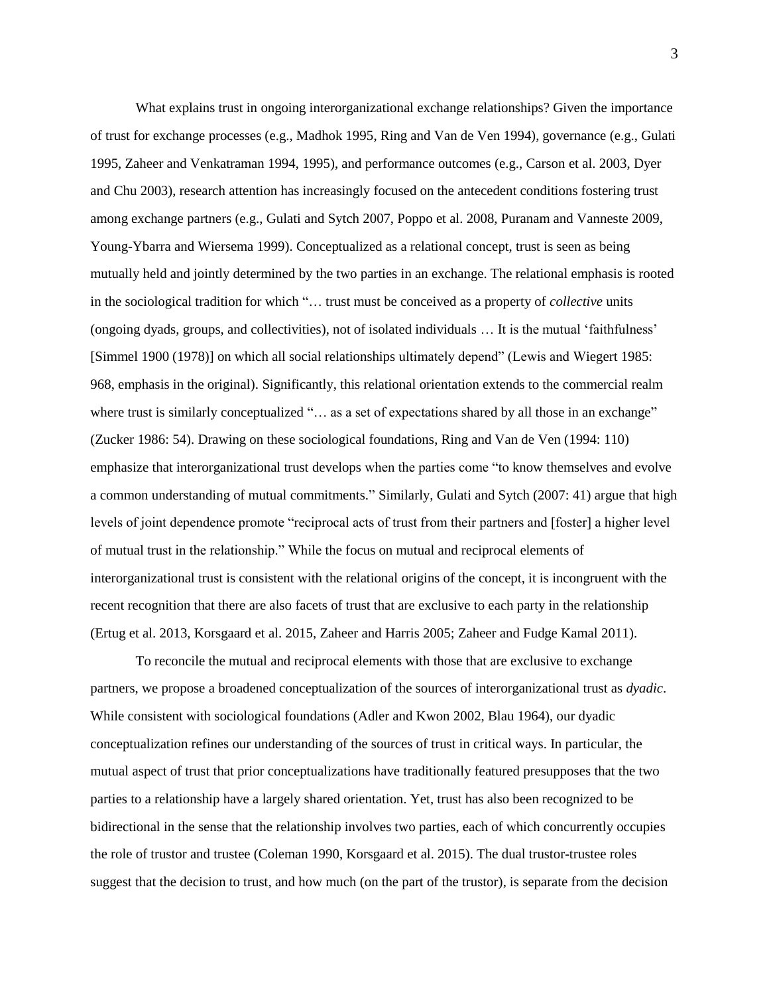What explains trust in ongoing interorganizational exchange relationships? Given the importance of trust for exchange processes (e.g., Madhok 1995, Ring and Van de Ven 1994), governance (e.g., Gulati 1995, Zaheer and Venkatraman 1994, 1995), and performance outcomes (e.g., Carson et al. 2003, Dyer and Chu 2003), research attention has increasingly focused on the antecedent conditions fostering trust among exchange partners (e.g., Gulati and Sytch 2007, Poppo et al. 2008, Puranam and Vanneste 2009, Young-Ybarra and Wiersema 1999). Conceptualized as a relational concept, trust is seen as being mutually held and jointly determined by the two parties in an exchange. The relational emphasis is rooted in the sociological tradition for which "… trust must be conceived as a property of *collective* units (ongoing dyads, groups, and collectivities), not of isolated individuals … It is the mutual 'faithfulness' [Simmel 1900 (1978)] on which all social relationships ultimately depend" (Lewis and Wiegert 1985: 968, emphasis in the original). Significantly, this relational orientation extends to the commercial realm where trust is similarly conceptualized "... as a set of expectations shared by all those in an exchange" (Zucker 1986: 54). Drawing on these sociological foundations, Ring and Van de Ven (1994: 110) emphasize that interorganizational trust develops when the parties come "to know themselves and evolve a common understanding of mutual commitments." Similarly, Gulati and Sytch (2007: 41) argue that high levels of joint dependence promote "reciprocal acts of trust from their partners and [foster] a higher level of mutual trust in the relationship." While the focus on mutual and reciprocal elements of interorganizational trust is consistent with the relational origins of the concept, it is incongruent with the recent recognition that there are also facets of trust that are exclusive to each party in the relationship (Ertug et al. 2013, Korsgaard et al. 2015, Zaheer and Harris 2005; Zaheer and Fudge Kamal 2011).

To reconcile the mutual and reciprocal elements with those that are exclusive to exchange partners, we propose a broadened conceptualization of the sources of interorganizational trust as *dyadic*. While consistent with sociological foundations (Adler and Kwon 2002, Blau 1964), our dyadic conceptualization refines our understanding of the sources of trust in critical ways. In particular, the mutual aspect of trust that prior conceptualizations have traditionally featured presupposes that the two parties to a relationship have a largely shared orientation. Yet, trust has also been recognized to be bidirectional in the sense that the relationship involves two parties, each of which concurrently occupies the role of trustor and trustee (Coleman 1990, Korsgaard et al. 2015). The dual trustor-trustee roles suggest that the decision to trust, and how much (on the part of the trustor), is separate from the decision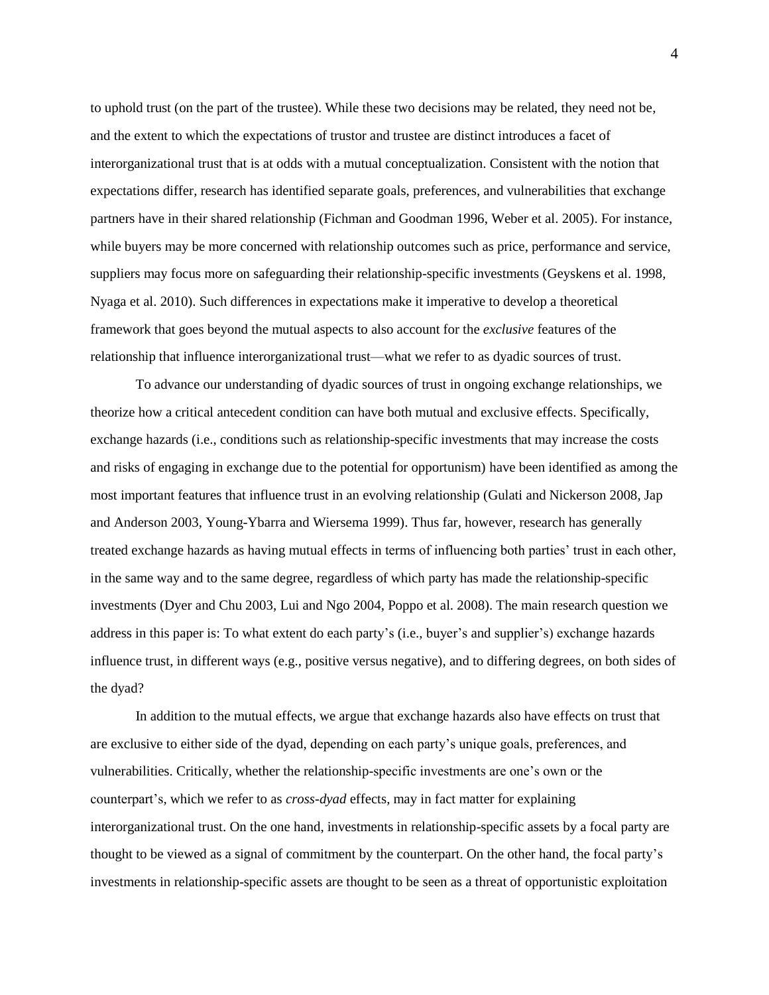to uphold trust (on the part of the trustee). While these two decisions may be related, they need not be, and the extent to which the expectations of trustor and trustee are distinct introduces a facet of interorganizational trust that is at odds with a mutual conceptualization. Consistent with the notion that expectations differ, research has identified separate goals, preferences, and vulnerabilities that exchange partners have in their shared relationship (Fichman and Goodman 1996, Weber et al. 2005). For instance, while buyers may be more concerned with relationship outcomes such as price, performance and service, suppliers may focus more on safeguarding their relationship-specific investments (Geyskens et al. 1998, Nyaga et al. 2010). Such differences in expectations make it imperative to develop a theoretical framework that goes beyond the mutual aspects to also account for the *exclusive* features of the relationship that influence interorganizational trust—what we refer to as dyadic sources of trust.

To advance our understanding of dyadic sources of trust in ongoing exchange relationships, we theorize how a critical antecedent condition can have both mutual and exclusive effects. Specifically, exchange hazards (i.e., conditions such as relationship-specific investments that may increase the costs and risks of engaging in exchange due to the potential for opportunism) have been identified as among the most important features that influence trust in an evolving relationship (Gulati and Nickerson 2008, Jap and Anderson 2003, Young-Ybarra and Wiersema 1999). Thus far, however, research has generally treated exchange hazards as having mutual effects in terms of influencing both parties' trust in each other, in the same way and to the same degree, regardless of which party has made the relationship-specific investments (Dyer and Chu 2003, Lui and Ngo 2004, Poppo et al. 2008). The main research question we address in this paper is: To what extent do each party's (i.e., buyer's and supplier's) exchange hazards influence trust, in different ways (e.g., positive versus negative), and to differing degrees, on both sides of the dyad?

In addition to the mutual effects, we argue that exchange hazards also have effects on trust that are exclusive to either side of the dyad, depending on each party's unique goals, preferences, and vulnerabilities. Critically, whether the relationship-specific investments are one's own or the counterpart's, which we refer to as *cross-dyad* effects, may in fact matter for explaining interorganizational trust. On the one hand, investments in relationship-specific assets by a focal party are thought to be viewed as a signal of commitment by the counterpart. On the other hand, the focal party's investments in relationship-specific assets are thought to be seen as a threat of opportunistic exploitation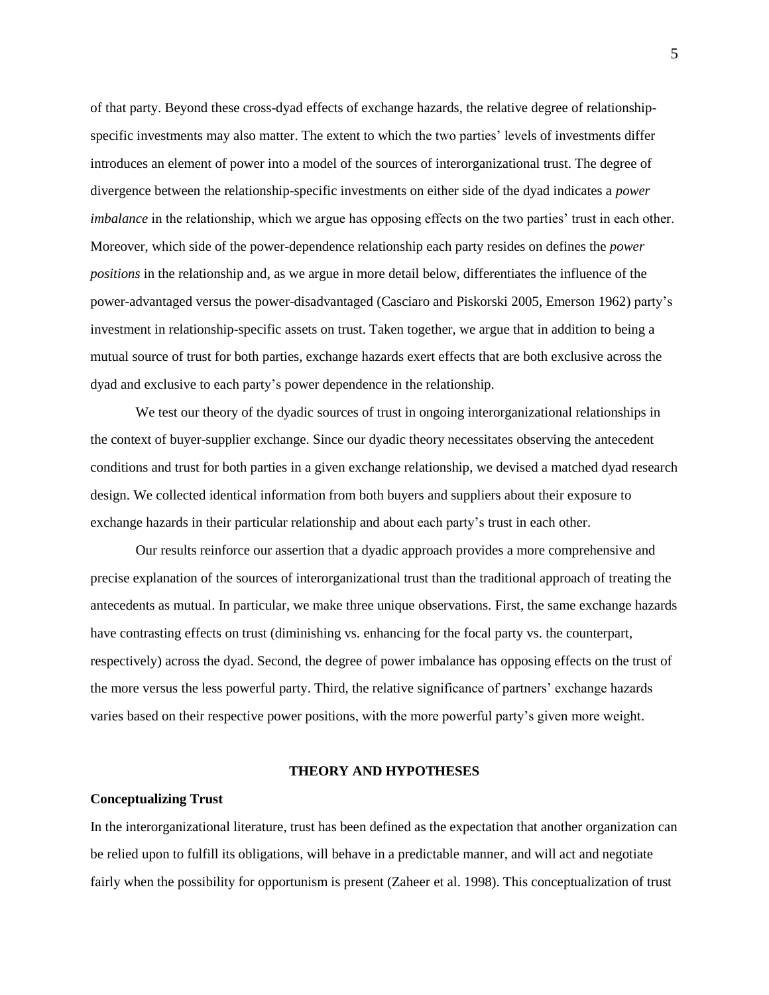of that party. Beyond these cross-dyad effects of exchange hazards, the relative degree of relationshipspecific investments may also matter. The extent to which the two parties' levels of investments differ introduces an element of power into a model of the sources of interorganizational trust. The degree of divergence between the relationship-specific investments on either side of the dyad indicates a *power imbalance* in the relationship, which we argue has opposing effects on the two parties' trust in each other. Moreover, which side of the power-dependence relationship each party resides on defines the *power positions* in the relationship and, as we argue in more detail below, differentiates the influence of the power-advantaged versus the power-disadvantaged (Casciaro and Piskorski 2005, Emerson 1962) party's investment in relationship-specific assets on trust. Taken together, we argue that in addition to being a mutual source of trust for both parties, exchange hazards exert effects that are both exclusive across the dyad and exclusive to each party's power dependence in the relationship.

We test our theory of the dyadic sources of trust in ongoing interorganizational relationships in the context of buyer-supplier exchange. Since our dyadic theory necessitates observing the antecedent conditions and trust for both parties in a given exchange relationship, we devised a matched dyad research design. We collected identical information from both buyers and suppliers about their exposure to exchange hazards in their particular relationship and about each party's trust in each other.

Our results reinforce our assertion that a dyadic approach provides a more comprehensive and precise explanation of the sources of interorganizational trust than the traditional approach of treating the antecedents as mutual. In particular, we make three unique observations. First, the same exchange hazards have contrasting effects on trust (diminishing vs. enhancing for the focal party vs. the counterpart, respectively) across the dyad. Second, the degree of power imbalance has opposing effects on the trust of the more versus the less powerful party. Third, the relative significance of partners' exchange hazards varies based on their respective power positions, with the more powerful party's given more weight.

#### **THEORY AND HYPOTHESES**

#### **Conceptualizing Trust**

In the interorganizational literature, trust has been defined as the expectation that another organization can be relied upon to fulfill its obligations, will behave in a predictable manner, and will act and negotiate fairly when the possibility for opportunism is present (Zaheer et al. 1998). This conceptualization of trust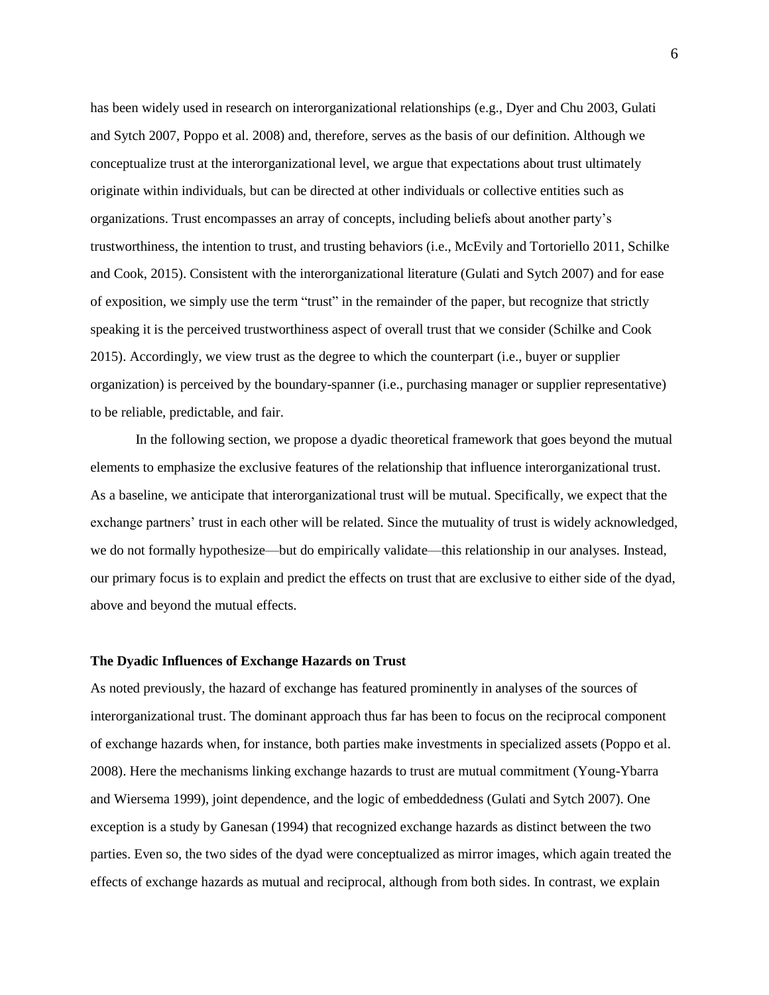has been widely used in research on interorganizational relationships (e.g., Dyer and Chu 2003, Gulati and Sytch 2007, Poppo et al. 2008) and, therefore, serves as the basis of our definition. Although we conceptualize trust at the interorganizational level, we argue that expectations about trust ultimately originate within individuals, but can be directed at other individuals or collective entities such as organizations. Trust encompasses an array of concepts, including beliefs about another party's trustworthiness, the intention to trust, and trusting behaviors (i.e., McEvily and Tortoriello 2011, Schilke and Cook, 2015). Consistent with the interorganizational literature (Gulati and Sytch 2007) and for ease of exposition, we simply use the term "trust" in the remainder of the paper, but recognize that strictly speaking it is the perceived trustworthiness aspect of overall trust that we consider (Schilke and Cook 2015). Accordingly, we view trust as the degree to which the counterpart (i.e., buyer or supplier organization) is perceived by the boundary-spanner (i.e., purchasing manager or supplier representative) to be reliable, predictable, and fair.

In the following section, we propose a dyadic theoretical framework that goes beyond the mutual elements to emphasize the exclusive features of the relationship that influence interorganizational trust. As a baseline, we anticipate that interorganizational trust will be mutual. Specifically, we expect that the exchange partners' trust in each other will be related. Since the mutuality of trust is widely acknowledged, we do not formally hypothesize—but do empirically validate—this relationship in our analyses. Instead, our primary focus is to explain and predict the effects on trust that are exclusive to either side of the dyad, above and beyond the mutual effects.

#### **The Dyadic Influences of Exchange Hazards on Trust**

As noted previously, the hazard of exchange has featured prominently in analyses of the sources of interorganizational trust. The dominant approach thus far has been to focus on the reciprocal component of exchange hazards when, for instance, both parties make investments in specialized assets (Poppo et al. 2008). Here the mechanisms linking exchange hazards to trust are mutual commitment (Young-Ybarra and Wiersema 1999), joint dependence, and the logic of embeddedness (Gulati and Sytch 2007). One exception is a study by Ganesan (1994) that recognized exchange hazards as distinct between the two parties. Even so, the two sides of the dyad were conceptualized as mirror images, which again treated the effects of exchange hazards as mutual and reciprocal, although from both sides. In contrast, we explain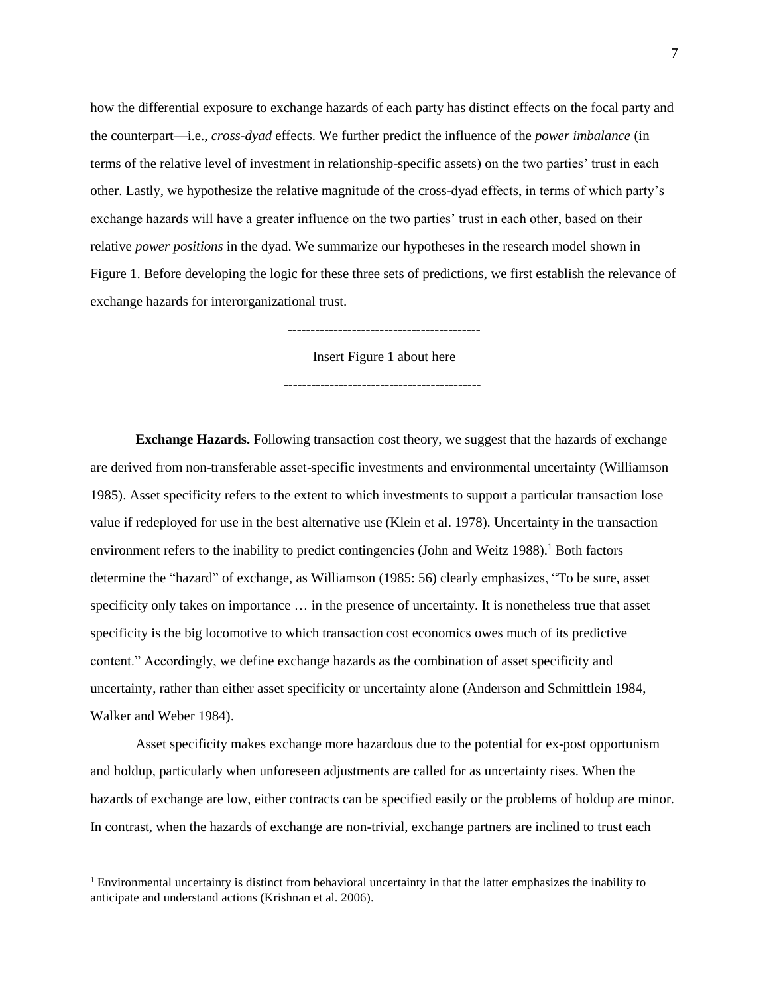how the differential exposure to exchange hazards of each party has distinct effects on the focal party and the counterpart—i.e., *cross-dyad* effects. We further predict the influence of the *power imbalance* (in terms of the relative level of investment in relationship-specific assets) on the two parties' trust in each other. Lastly, we hypothesize the relative magnitude of the cross-dyad effects, in terms of which party's exchange hazards will have a greater influence on the two parties' trust in each other, based on their relative *power positions* in the dyad. We summarize our hypotheses in the research model shown in Figure 1. Before developing the logic for these three sets of predictions, we first establish the relevance of exchange hazards for interorganizational trust.

Insert Figure 1 about here

-------------------------------------------

------------------------------------------

**Exchange Hazards.** Following transaction cost theory, we suggest that the hazards of exchange are derived from non-transferable asset-specific investments and environmental uncertainty (Williamson 1985). Asset specificity refers to the extent to which investments to support a particular transaction lose value if redeployed for use in the best alternative use (Klein et al. 1978). Uncertainty in the transaction environment refers to the inability to predict contingencies (John and Weitz 1988).<sup>1</sup> Both factors determine the "hazard" of exchange, as Williamson (1985: 56) clearly emphasizes, "To be sure, asset specificity only takes on importance … in the presence of uncertainty. It is nonetheless true that asset specificity is the big locomotive to which transaction cost economics owes much of its predictive content." Accordingly, we define exchange hazards as the combination of asset specificity and uncertainty, rather than either asset specificity or uncertainty alone (Anderson and Schmittlein 1984, Walker and Weber 1984).

Asset specificity makes exchange more hazardous due to the potential for ex-post opportunism and holdup, particularly when unforeseen adjustments are called for as uncertainty rises. When the hazards of exchange are low, either contracts can be specified easily or the problems of holdup are minor. In contrast, when the hazards of exchange are non-trivial, exchange partners are inclined to trust each

l

<sup>1</sup> Environmental uncertainty is distinct from behavioral uncertainty in that the latter emphasizes the inability to anticipate and understand actions (Krishnan et al. 2006).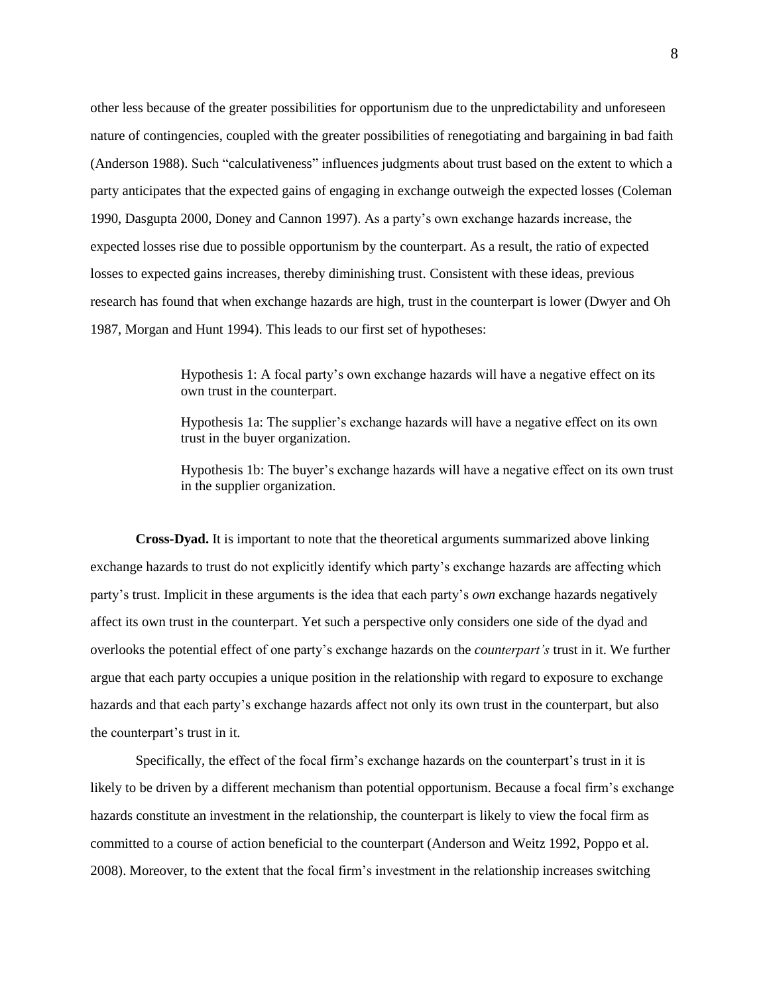other less because of the greater possibilities for opportunism due to the unpredictability and unforeseen nature of contingencies, coupled with the greater possibilities of renegotiating and bargaining in bad faith (Anderson 1988). Such "calculativeness" influences judgments about trust based on the extent to which a party anticipates that the expected gains of engaging in exchange outweigh the expected losses (Coleman 1990, Dasgupta 2000, Doney and Cannon 1997). As a party's own exchange hazards increase, the expected losses rise due to possible opportunism by the counterpart. As a result, the ratio of expected losses to expected gains increases, thereby diminishing trust. Consistent with these ideas, previous research has found that when exchange hazards are high, trust in the counterpart is lower (Dwyer and Oh 1987, Morgan and Hunt 1994). This leads to our first set of hypotheses:

> Hypothesis 1: A focal party's own exchange hazards will have a negative effect on its own trust in the counterpart.

> Hypothesis 1a: The supplier's exchange hazards will have a negative effect on its own trust in the buyer organization.

Hypothesis 1b: The buyer's exchange hazards will have a negative effect on its own trust in the supplier organization.

**Cross-Dyad.** It is important to note that the theoretical arguments summarized above linking exchange hazards to trust do not explicitly identify which party's exchange hazards are affecting which party's trust. Implicit in these arguments is the idea that each party's *own* exchange hazards negatively affect its own trust in the counterpart. Yet such a perspective only considers one side of the dyad and overlooks the potential effect of one party's exchange hazards on the *counterpart's* trust in it. We further argue that each party occupies a unique position in the relationship with regard to exposure to exchange hazards and that each party's exchange hazards affect not only its own trust in the counterpart, but also the counterpart's trust in it.

Specifically, the effect of the focal firm's exchange hazards on the counterpart's trust in it is likely to be driven by a different mechanism than potential opportunism. Because a focal firm's exchange hazards constitute an investment in the relationship, the counterpart is likely to view the focal firm as committed to a course of action beneficial to the counterpart (Anderson and Weitz 1992, Poppo et al. 2008). Moreover, to the extent that the focal firm's investment in the relationship increases switching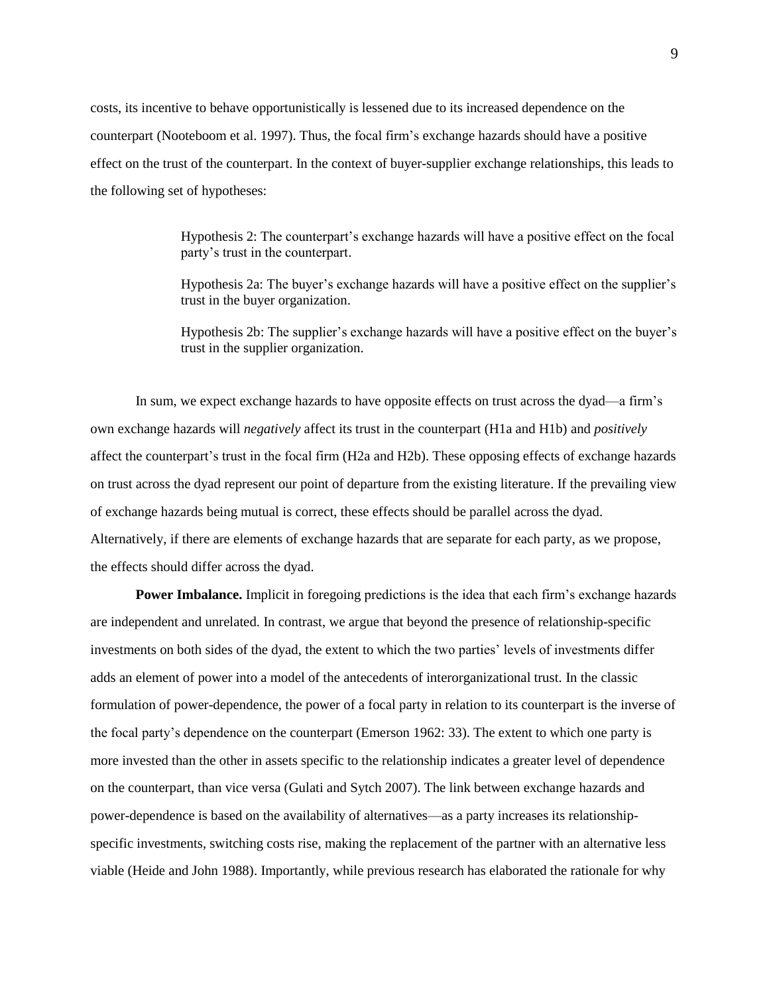costs, its incentive to behave opportunistically is lessened due to its increased dependence on the counterpart (Nooteboom et al. 1997). Thus, the focal firm's exchange hazards should have a positive effect on the trust of the counterpart. In the context of buyer-supplier exchange relationships, this leads to the following set of hypotheses:

> Hypothesis 2: The counterpart's exchange hazards will have a positive effect on the focal party's trust in the counterpart.

> Hypothesis 2a: The buyer's exchange hazards will have a positive effect on the supplier's trust in the buyer organization.

> Hypothesis 2b: The supplier's exchange hazards will have a positive effect on the buyer's trust in the supplier organization.

In sum, we expect exchange hazards to have opposite effects on trust across the dyad—a firm's own exchange hazards will *negatively* affect its trust in the counterpart (H1a and H1b) and *positively* affect the counterpart's trust in the focal firm (H2a and H2b). These opposing effects of exchange hazards on trust across the dyad represent our point of departure from the existing literature. If the prevailing view of exchange hazards being mutual is correct, these effects should be parallel across the dyad. Alternatively, if there are elements of exchange hazards that are separate for each party, as we propose, the effects should differ across the dyad.

**Power Imbalance.** Implicit in foregoing predictions is the idea that each firm's exchange hazards are independent and unrelated. In contrast, we argue that beyond the presence of relationship-specific investments on both sides of the dyad, the extent to which the two parties' levels of investments differ adds an element of power into a model of the antecedents of interorganizational trust. In the classic formulation of power-dependence, the power of a focal party in relation to its counterpart is the inverse of the focal party's dependence on the counterpart (Emerson 1962: 33). The extent to which one party is more invested than the other in assets specific to the relationship indicates a greater level of dependence on the counterpart, than vice versa (Gulati and Sytch 2007). The link between exchange hazards and power-dependence is based on the availability of alternatives—as a party increases its relationshipspecific investments, switching costs rise, making the replacement of the partner with an alternative less viable (Heide and John 1988). Importantly, while previous research has elaborated the rationale for why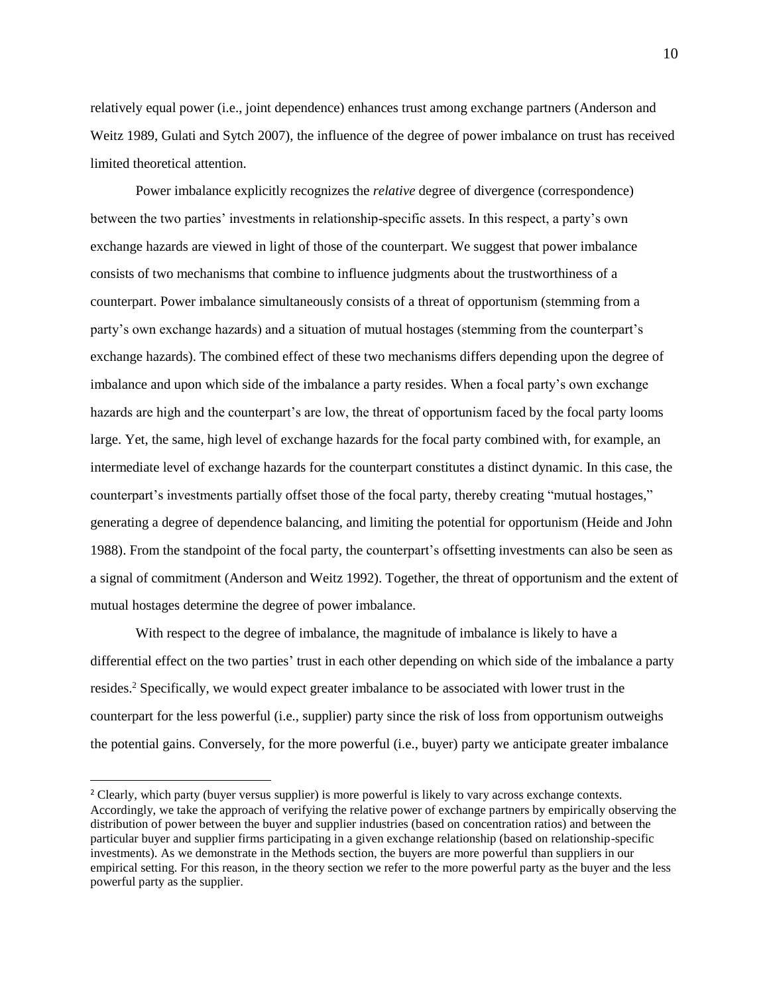relatively equal power (i.e., joint dependence) enhances trust among exchange partners (Anderson and Weitz 1989, Gulati and Sytch 2007), the influence of the degree of power imbalance on trust has received limited theoretical attention.

Power imbalance explicitly recognizes the *relative* degree of divergence (correspondence) between the two parties' investments in relationship-specific assets. In this respect, a party's own exchange hazards are viewed in light of those of the counterpart. We suggest that power imbalance consists of two mechanisms that combine to influence judgments about the trustworthiness of a counterpart. Power imbalance simultaneously consists of a threat of opportunism (stemming from a party's own exchange hazards) and a situation of mutual hostages (stemming from the counterpart's exchange hazards). The combined effect of these two mechanisms differs depending upon the degree of imbalance and upon which side of the imbalance a party resides. When a focal party's own exchange hazards are high and the counterpart's are low, the threat of opportunism faced by the focal party looms large. Yet, the same, high level of exchange hazards for the focal party combined with, for example, an intermediate level of exchange hazards for the counterpart constitutes a distinct dynamic. In this case, the counterpart's investments partially offset those of the focal party, thereby creating "mutual hostages," generating a degree of dependence balancing, and limiting the potential for opportunism (Heide and John 1988). From the standpoint of the focal party, the counterpart's offsetting investments can also be seen as a signal of commitment (Anderson and Weitz 1992). Together, the threat of opportunism and the extent of mutual hostages determine the degree of power imbalance.

With respect to the degree of imbalance, the magnitude of imbalance is likely to have a differential effect on the two parties' trust in each other depending on which side of the imbalance a party resides.<sup>2</sup> Specifically, we would expect greater imbalance to be associated with lower trust in the counterpart for the less powerful (i.e., supplier) party since the risk of loss from opportunism outweighs the potential gains. Conversely, for the more powerful (i.e., buyer) party we anticipate greater imbalance

l

<sup>&</sup>lt;sup>2</sup> Clearly, which party (buyer versus supplier) is more powerful is likely to vary across exchange contexts. Accordingly, we take the approach of verifying the relative power of exchange partners by empirically observing the distribution of power between the buyer and supplier industries (based on concentration ratios) and between the particular buyer and supplier firms participating in a given exchange relationship (based on relationship-specific investments). As we demonstrate in the Methods section, the buyers are more powerful than suppliers in our empirical setting. For this reason, in the theory section we refer to the more powerful party as the buyer and the less powerful party as the supplier.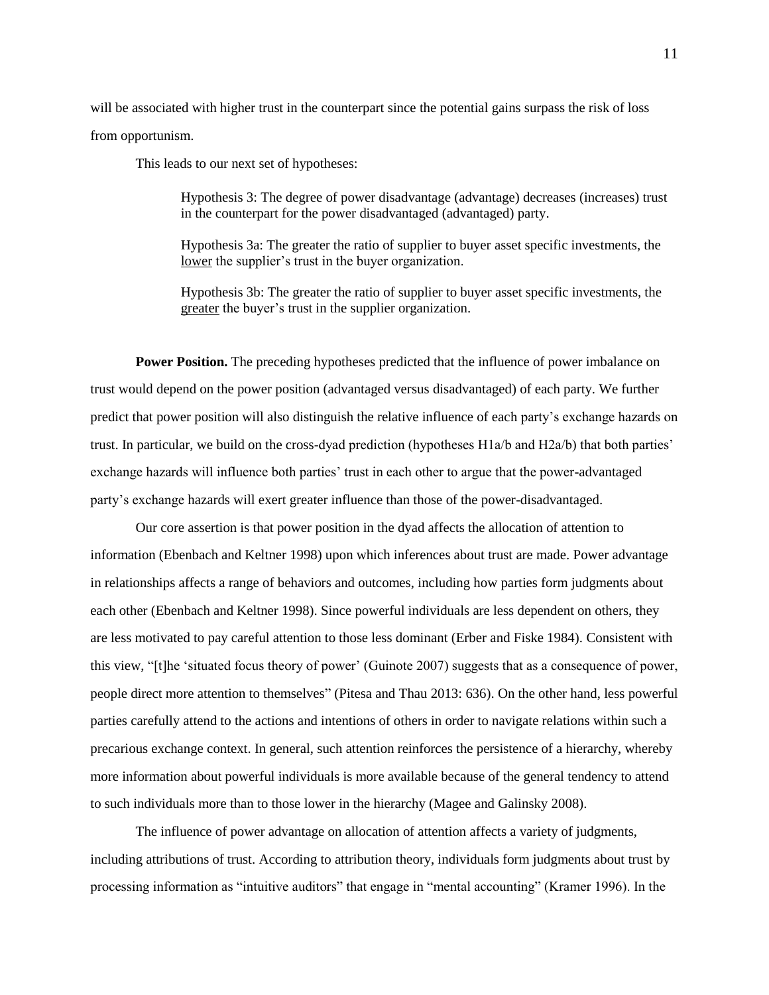will be associated with higher trust in the counterpart since the potential gains surpass the risk of loss from opportunism.

This leads to our next set of hypotheses:

Hypothesis 3: The degree of power disadvantage (advantage) decreases (increases) trust in the counterpart for the power disadvantaged (advantaged) party.

Hypothesis 3a: The greater the ratio of supplier to buyer asset specific investments, the lower the supplier's trust in the buyer organization.

Hypothesis 3b: The greater the ratio of supplier to buyer asset specific investments, the greater the buyer's trust in the supplier organization.

**Power Position.** The preceding hypotheses predicted that the influence of power imbalance on trust would depend on the power position (advantaged versus disadvantaged) of each party. We further predict that power position will also distinguish the relative influence of each party's exchange hazards on trust. In particular, we build on the cross-dyad prediction (hypotheses H1a/b and H2a/b) that both parties' exchange hazards will influence both parties' trust in each other to argue that the power-advantaged party's exchange hazards will exert greater influence than those of the power-disadvantaged.

Our core assertion is that power position in the dyad affects the allocation of attention to information (Ebenbach and Keltner 1998) upon which inferences about trust are made. Power advantage in relationships affects a range of behaviors and outcomes, including how parties form judgments about each other (Ebenbach and Keltner 1998). Since powerful individuals are less dependent on others, they are less motivated to pay careful attention to those less dominant (Erber and Fiske 1984). Consistent with this view, "[t]he 'situated focus theory of power' (Guinote 2007) suggests that as a consequence of power, people direct more attention to themselves" (Pitesa and Thau 2013: 636). On the other hand, less powerful parties carefully attend to the actions and intentions of others in order to navigate relations within such a precarious exchange context. In general, such attention reinforces the persistence of a hierarchy, whereby more information about powerful individuals is more available because of the general tendency to attend to such individuals more than to those lower in the hierarchy (Magee and Galinsky 2008).

The influence of power advantage on allocation of attention affects a variety of judgments, including attributions of trust. According to attribution theory, individuals form judgments about trust by processing information as "intuitive auditors" that engage in "mental accounting" (Kramer 1996). In the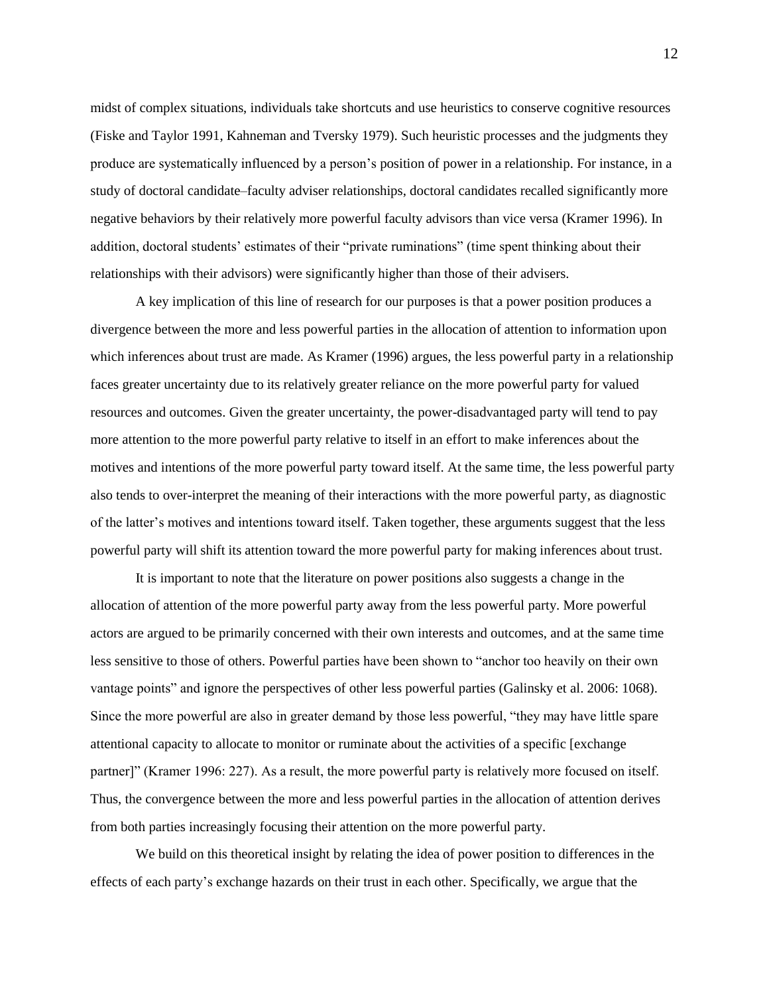midst of complex situations, individuals take shortcuts and use heuristics to conserve cognitive resources (Fiske and Taylor 1991, Kahneman and Tversky 1979). Such heuristic processes and the judgments they produce are systematically influenced by a person's position of power in a relationship. For instance, in a study of doctoral candidate–faculty adviser relationships, doctoral candidates recalled significantly more negative behaviors by their relatively more powerful faculty advisors than vice versa (Kramer 1996). In addition, doctoral students' estimates of their "private ruminations" (time spent thinking about their relationships with their advisors) were significantly higher than those of their advisers.

A key implication of this line of research for our purposes is that a power position produces a divergence between the more and less powerful parties in the allocation of attention to information upon which inferences about trust are made. As Kramer (1996) argues, the less powerful party in a relationship faces greater uncertainty due to its relatively greater reliance on the more powerful party for valued resources and outcomes. Given the greater uncertainty, the power-disadvantaged party will tend to pay more attention to the more powerful party relative to itself in an effort to make inferences about the motives and intentions of the more powerful party toward itself. At the same time, the less powerful party also tends to over-interpret the meaning of their interactions with the more powerful party, as diagnostic of the latter's motives and intentions toward itself. Taken together, these arguments suggest that the less powerful party will shift its attention toward the more powerful party for making inferences about trust.

It is important to note that the literature on power positions also suggests a change in the allocation of attention of the more powerful party away from the less powerful party. More powerful actors are argued to be primarily concerned with their own interests and outcomes, and at the same time less sensitive to those of others. Powerful parties have been shown to "anchor too heavily on their own vantage points" and ignore the perspectives of other less powerful parties (Galinsky et al. 2006: 1068). Since the more powerful are also in greater demand by those less powerful, "they may have little spare attentional capacity to allocate to monitor or ruminate about the activities of a specific [exchange partner]" (Kramer 1996: 227). As a result, the more powerful party is relatively more focused on itself. Thus, the convergence between the more and less powerful parties in the allocation of attention derives from both parties increasingly focusing their attention on the more powerful party.

We build on this theoretical insight by relating the idea of power position to differences in the effects of each party's exchange hazards on their trust in each other. Specifically, we argue that the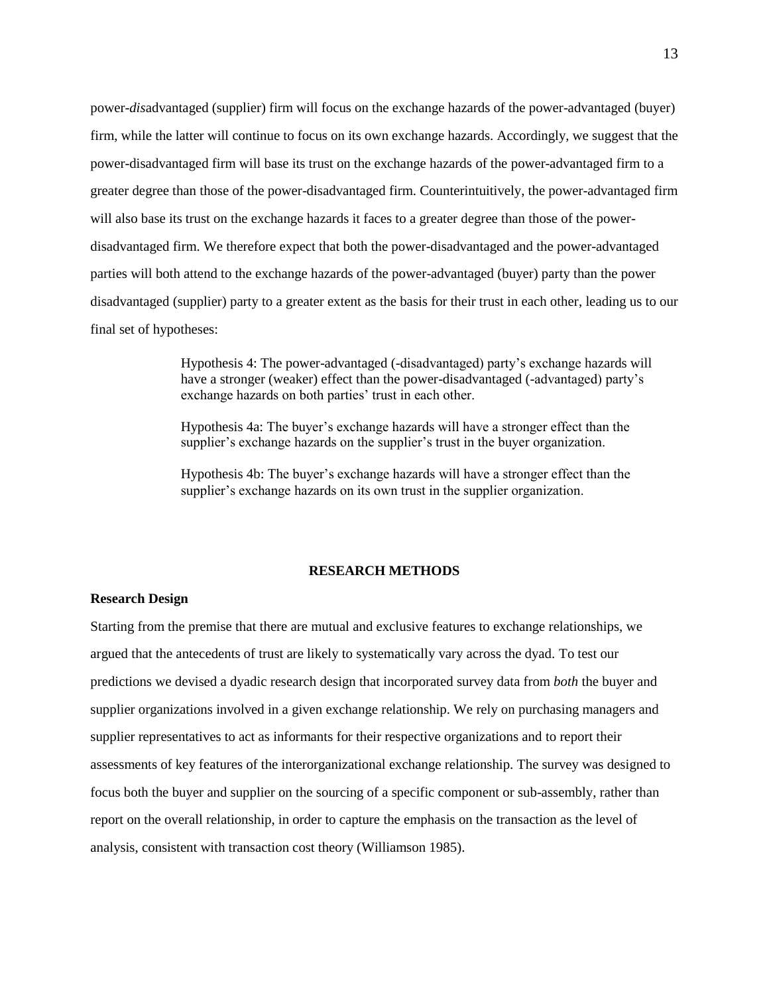power-*dis*advantaged (supplier) firm will focus on the exchange hazards of the power-advantaged (buyer) firm, while the latter will continue to focus on its own exchange hazards. Accordingly, we suggest that the power-disadvantaged firm will base its trust on the exchange hazards of the power-advantaged firm to a greater degree than those of the power-disadvantaged firm. Counterintuitively, the power-advantaged firm will also base its trust on the exchange hazards it faces to a greater degree than those of the powerdisadvantaged firm. We therefore expect that both the power-disadvantaged and the power-advantaged parties will both attend to the exchange hazards of the power-advantaged (buyer) party than the power disadvantaged (supplier) party to a greater extent as the basis for their trust in each other, leading us to our final set of hypotheses:

> Hypothesis 4: The power-advantaged (-disadvantaged) party's exchange hazards will have a stronger (weaker) effect than the power-disadvantaged (-advantaged) party's exchange hazards on both parties' trust in each other.

Hypothesis 4a: The buyer's exchange hazards will have a stronger effect than the supplier's exchange hazards on the supplier's trust in the buyer organization.

Hypothesis 4b: The buyer's exchange hazards will have a stronger effect than the supplier's exchange hazards on its own trust in the supplier organization.

#### **RESEARCH METHODS**

#### **Research Design**

Starting from the premise that there are mutual and exclusive features to exchange relationships, we argued that the antecedents of trust are likely to systematically vary across the dyad. To test our predictions we devised a dyadic research design that incorporated survey data from *both* the buyer and supplier organizations involved in a given exchange relationship. We rely on purchasing managers and supplier representatives to act as informants for their respective organizations and to report their assessments of key features of the interorganizational exchange relationship. The survey was designed to focus both the buyer and supplier on the sourcing of a specific component or sub-assembly, rather than report on the overall relationship, in order to capture the emphasis on the transaction as the level of analysis, consistent with transaction cost theory (Williamson 1985).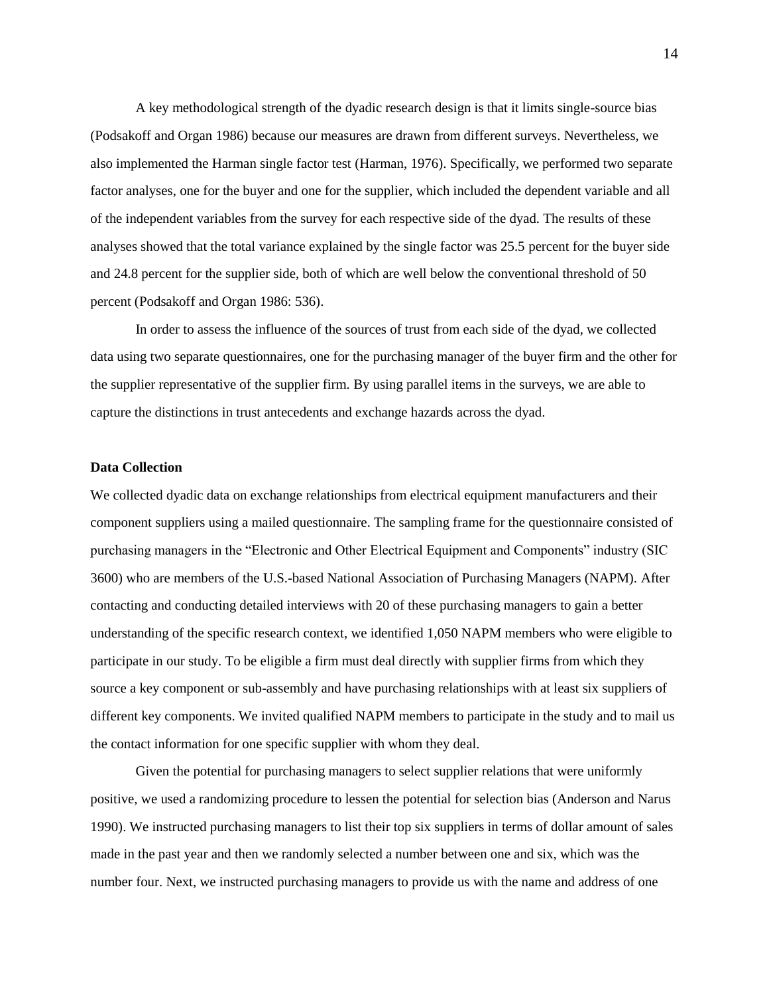A key methodological strength of the dyadic research design is that it limits single-source bias (Podsakoff and Organ 1986) because our measures are drawn from different surveys. Nevertheless, we also implemented the Harman single factor test (Harman, 1976). Specifically, we performed two separate factor analyses, one for the buyer and one for the supplier, which included the dependent variable and all of the independent variables from the survey for each respective side of the dyad. The results of these analyses showed that the total variance explained by the single factor was 25.5 percent for the buyer side and 24.8 percent for the supplier side, both of which are well below the conventional threshold of 50 percent (Podsakoff and Organ 1986: 536).

In order to assess the influence of the sources of trust from each side of the dyad, we collected data using two separate questionnaires, one for the purchasing manager of the buyer firm and the other for the supplier representative of the supplier firm. By using parallel items in the surveys, we are able to capture the distinctions in trust antecedents and exchange hazards across the dyad.

#### **Data Collection**

We collected dyadic data on exchange relationships from electrical equipment manufacturers and their component suppliers using a mailed questionnaire. The sampling frame for the questionnaire consisted of purchasing managers in the "Electronic and Other Electrical Equipment and Components" industry (SIC 3600) who are members of the U.S.-based National Association of Purchasing Managers (NAPM). After contacting and conducting detailed interviews with 20 of these purchasing managers to gain a better understanding of the specific research context, we identified 1,050 NAPM members who were eligible to participate in our study. To be eligible a firm must deal directly with supplier firms from which they source a key component or sub-assembly and have purchasing relationships with at least six suppliers of different key components. We invited qualified NAPM members to participate in the study and to mail us the contact information for one specific supplier with whom they deal.

Given the potential for purchasing managers to select supplier relations that were uniformly positive, we used a randomizing procedure to lessen the potential for selection bias (Anderson and Narus 1990). We instructed purchasing managers to list their top six suppliers in terms of dollar amount of sales made in the past year and then we randomly selected a number between one and six, which was the number four. Next, we instructed purchasing managers to provide us with the name and address of one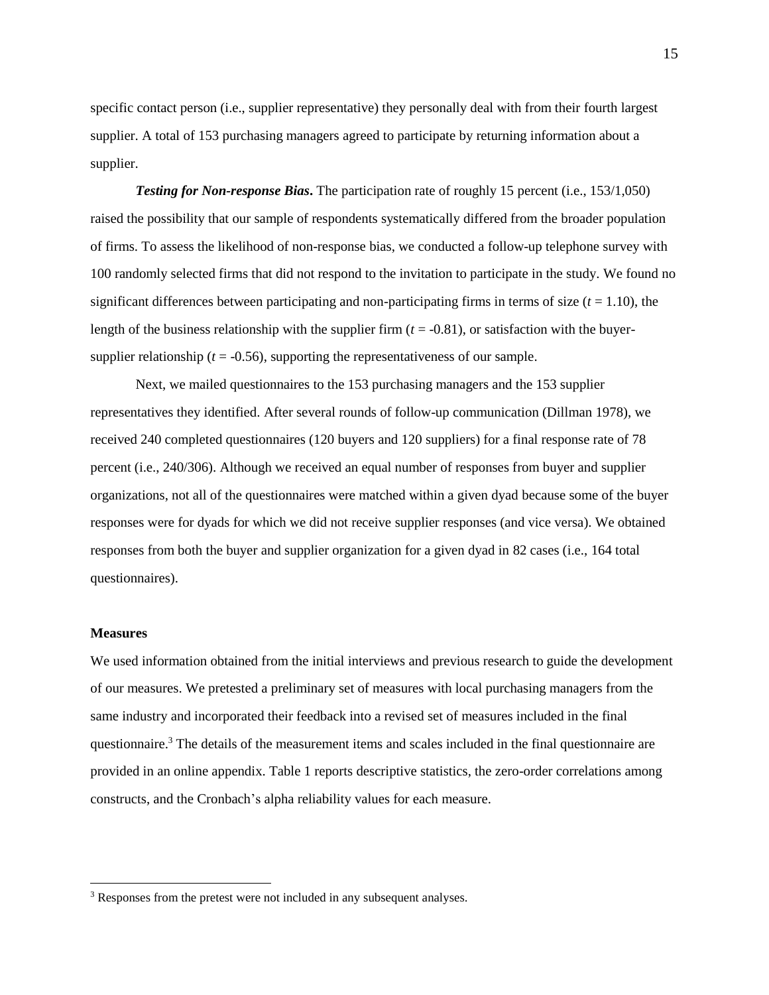specific contact person (i.e., supplier representative) they personally deal with from their fourth largest supplier. A total of 153 purchasing managers agreed to participate by returning information about a supplier.

**Testing for Non-response Bias.** The participation rate of roughly 15 percent (i.e., 153/1,050) raised the possibility that our sample of respondents systematically differed from the broader population of firms. To assess the likelihood of non-response bias, we conducted a follow-up telephone survey with 100 randomly selected firms that did not respond to the invitation to participate in the study. We found no significant differences between participating and non-participating firms in terms of size  $(t = 1.10)$ , the length of the business relationship with the supplier firm  $(t = -0.81)$ , or satisfaction with the buyersupplier relationship  $(t = -0.56)$ , supporting the representativeness of our sample.

Next, we mailed questionnaires to the 153 purchasing managers and the 153 supplier representatives they identified. After several rounds of follow-up communication (Dillman 1978), we received 240 completed questionnaires (120 buyers and 120 suppliers) for a final response rate of 78 percent (i.e., 240/306). Although we received an equal number of responses from buyer and supplier organizations, not all of the questionnaires were matched within a given dyad because some of the buyer responses were for dyads for which we did not receive supplier responses (and vice versa). We obtained responses from both the buyer and supplier organization for a given dyad in 82 cases (i.e., 164 total questionnaires).

#### **Measures**

 $\overline{\phantom{a}}$ 

We used information obtained from the initial interviews and previous research to guide the development of our measures. We pretested a preliminary set of measures with local purchasing managers from the same industry and incorporated their feedback into a revised set of measures included in the final questionnaire.<sup>3</sup> The details of the measurement items and scales included in the final questionnaire are provided in an online appendix. Table 1 reports descriptive statistics, the zero-order correlations among constructs, and the Cronbach's alpha reliability values for each measure.

<sup>&</sup>lt;sup>3</sup> Responses from the pretest were not included in any subsequent analyses.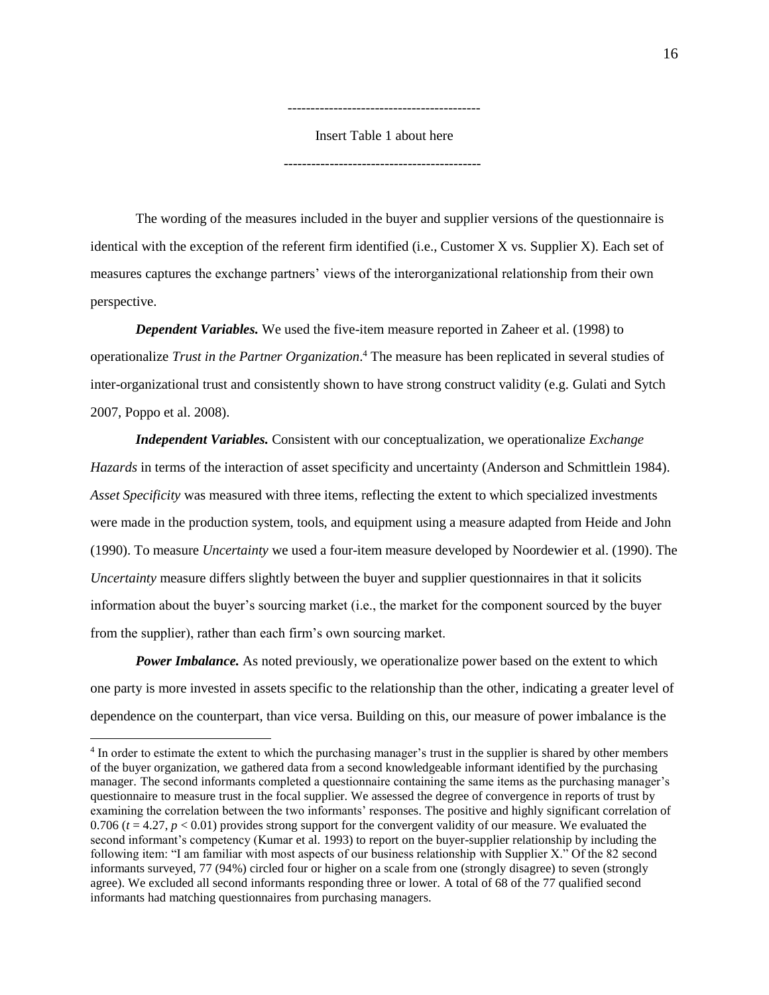------------------------------------------

Insert Table 1 about here -------------------------------------------

The wording of the measures included in the buyer and supplier versions of the questionnaire is identical with the exception of the referent firm identified (i.e., Customer X vs. Supplier X). Each set of measures captures the exchange partners' views of the interorganizational relationship from their own perspective.

*Dependent Variables.* We used the five-item measure reported in Zaheer et al. (1998) to operationalize *Trust in the Partner Organization*. <sup>4</sup> The measure has been replicated in several studies of inter-organizational trust and consistently shown to have strong construct validity (e.g. Gulati and Sytch 2007, Poppo et al. 2008).

*Independent Variables.* Consistent with our conceptualization, we operationalize *Exchange Hazards* in terms of the interaction of asset specificity and uncertainty (Anderson and Schmittlein 1984). *Asset Specificity* was measured with three items, reflecting the extent to which specialized investments were made in the production system, tools, and equipment using a measure adapted from Heide and John (1990). To measure *Uncertainty* we used a four-item measure developed by Noordewier et al. (1990). The *Uncertainty* measure differs slightly between the buyer and supplier questionnaires in that it solicits information about the buyer's sourcing market (i.e., the market for the component sourced by the buyer from the supplier), rather than each firm's own sourcing market.

*Power Imbalance.* As noted previously, we operationalize power based on the extent to which one party is more invested in assets specific to the relationship than the other, indicating a greater level of dependence on the counterpart, than vice versa. Building on this, our measure of power imbalance is the

 $\overline{\phantom{a}}$ 

<sup>&</sup>lt;sup>4</sup> In order to estimate the extent to which the purchasing manager's trust in the supplier is shared by other members of the buyer organization, we gathered data from a second knowledgeable informant identified by the purchasing manager. The second informants completed a questionnaire containing the same items as the purchasing manager's questionnaire to measure trust in the focal supplier. We assessed the degree of convergence in reports of trust by examining the correlation between the two informants' responses. The positive and highly significant correlation of 0.706  $(t = 4.27, p < 0.01)$  provides strong support for the convergent validity of our measure. We evaluated the second informant's competency (Kumar et al. 1993) to report on the buyer-supplier relationship by including the following item: "I am familiar with most aspects of our business relationship with Supplier X." Of the 82 second informants surveyed, 77 (94%) circled four or higher on a scale from one (strongly disagree) to seven (strongly agree). We excluded all second informants responding three or lower. A total of 68 of the 77 qualified second informants had matching questionnaires from purchasing managers.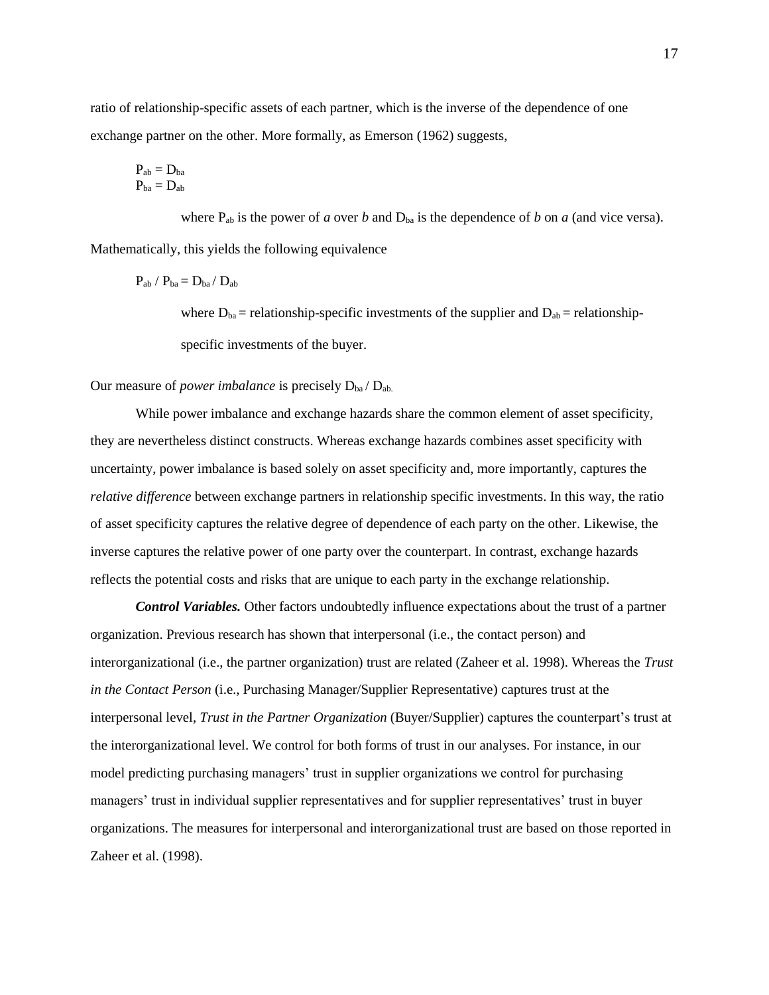ratio of relationship-specific assets of each partner, which is the inverse of the dependence of one exchange partner on the other. More formally, as Emerson (1962) suggests,

$$
\begin{array}{c} P_{ab}=D_{ba} \\ P_{ba}=D_{ab} \end{array}
$$

where  $P_{ab}$  is the power of *a* over *b* and  $D_{ba}$  is the dependence of *b* on *a* (and vice versa). Mathematically, this yields the following equivalence

$$
P_{ab} \mathbin{/} P_{ba} \!= D_{ba} \mathbin{/} D_{ab}
$$

where  $D_{ba}$  = relationship-specific investments of the supplier and  $D_{ab}$  = relationshipspecific investments of the buyer.

#### Our measure of *power imbalance* is precisely  $D_{ba} / D_{ab}$ .

While power imbalance and exchange hazards share the common element of asset specificity, they are nevertheless distinct constructs. Whereas exchange hazards combines asset specificity with uncertainty, power imbalance is based solely on asset specificity and, more importantly, captures the *relative difference* between exchange partners in relationship specific investments. In this way, the ratio of asset specificity captures the relative degree of dependence of each party on the other. Likewise, the inverse captures the relative power of one party over the counterpart. In contrast, exchange hazards reflects the potential costs and risks that are unique to each party in the exchange relationship.

*Control Variables.* Other factors undoubtedly influence expectations about the trust of a partner organization. Previous research has shown that interpersonal (i.e., the contact person) and interorganizational (i.e., the partner organization) trust are related (Zaheer et al. 1998). Whereas the *Trust in the Contact Person* (i.e., Purchasing Manager/Supplier Representative) captures trust at the interpersonal level, *Trust in the Partner Organization* (Buyer/Supplier) captures the counterpart's trust at the interorganizational level. We control for both forms of trust in our analyses. For instance, in our model predicting purchasing managers' trust in supplier organizations we control for purchasing managers' trust in individual supplier representatives and for supplier representatives' trust in buyer organizations. The measures for interpersonal and interorganizational trust are based on those reported in Zaheer et al. (1998).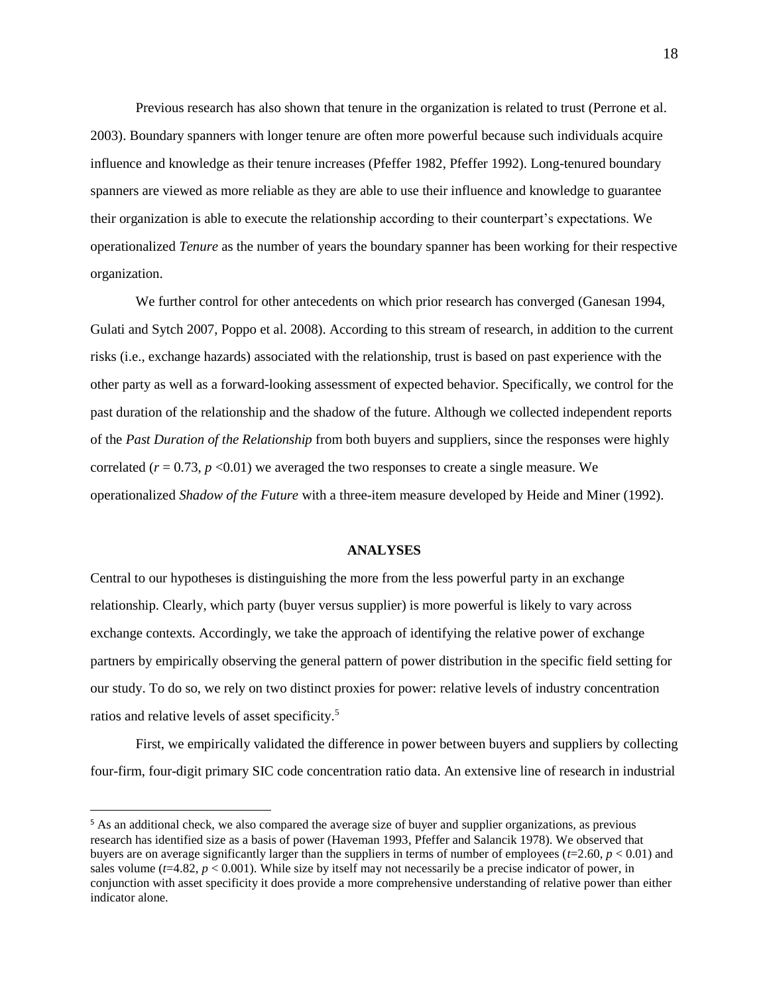Previous research has also shown that tenure in the organization is related to trust (Perrone et al. 2003). Boundary spanners with longer tenure are often more powerful because such individuals acquire influence and knowledge as their tenure increases (Pfeffer 1982, Pfeffer 1992). Long-tenured boundary spanners are viewed as more reliable as they are able to use their influence and knowledge to guarantee their organization is able to execute the relationship according to their counterpart's expectations. We operationalized *Tenure* as the number of years the boundary spanner has been working for their respective organization.

We further control for other antecedents on which prior research has converged (Ganesan 1994, Gulati and Sytch 2007, Poppo et al. 2008). According to this stream of research, in addition to the current risks (i.e., exchange hazards) associated with the relationship, trust is based on past experience with the other party as well as a forward-looking assessment of expected behavior. Specifically, we control for the past duration of the relationship and the shadow of the future. Although we collected independent reports of the *Past Duration of the Relationship* from both buyers and suppliers, since the responses were highly correlated  $(r = 0.73, p < 0.01)$  we averaged the two responses to create a single measure. We operationalized *Shadow of the Future* with a three-item measure developed by Heide and Miner (1992).

#### **ANALYSES**

Central to our hypotheses is distinguishing the more from the less powerful party in an exchange relationship. Clearly, which party (buyer versus supplier) is more powerful is likely to vary across exchange contexts. Accordingly, we take the approach of identifying the relative power of exchange partners by empirically observing the general pattern of power distribution in the specific field setting for our study. To do so, we rely on two distinct proxies for power: relative levels of industry concentration ratios and relative levels of asset specificity.<sup>5</sup>

First, we empirically validated the difference in power between buyers and suppliers by collecting four-firm, four-digit primary SIC code concentration ratio data. An extensive line of research in industrial

l

<sup>&</sup>lt;sup>5</sup> As an additional check, we also compared the average size of buyer and supplier organizations, as previous research has identified size as a basis of power (Haveman 1993, Pfeffer and Salancik 1978). We observed that buyers are on average significantly larger than the suppliers in terms of number of employees (*t*=2.60, *p* < 0.01) and sales volume  $(t=4.82, p < 0.001)$ . While size by itself may not necessarily be a precise indicator of power, in conjunction with asset specificity it does provide a more comprehensive understanding of relative power than either indicator alone.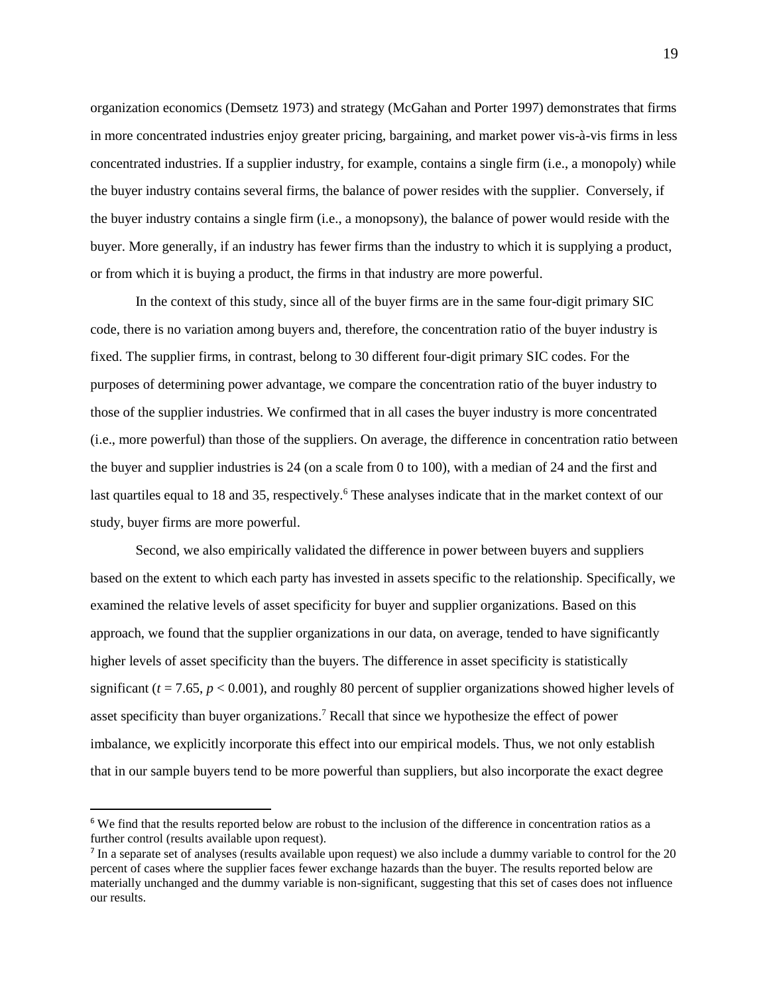organization economics (Demsetz 1973) and strategy (McGahan and Porter 1997) demonstrates that firms in more concentrated industries enjoy greater pricing, bargaining, and market power vis-à-vis firms in less concentrated industries. If a supplier industry, for example, contains a single firm (i.e., a monopoly) while the buyer industry contains several firms, the balance of power resides with the supplier. Conversely, if the buyer industry contains a single firm (i.e., a monopsony), the balance of power would reside with the buyer. More generally, if an industry has fewer firms than the industry to which it is supplying a product, or from which it is buying a product, the firms in that industry are more powerful.

In the context of this study, since all of the buyer firms are in the same four-digit primary SIC code, there is no variation among buyers and, therefore, the concentration ratio of the buyer industry is fixed. The supplier firms, in contrast, belong to 30 different four-digit primary SIC codes. For the purposes of determining power advantage, we compare the concentration ratio of the buyer industry to those of the supplier industries. We confirmed that in all cases the buyer industry is more concentrated (i.e., more powerful) than those of the suppliers. On average, the difference in concentration ratio between the buyer and supplier industries is 24 (on a scale from 0 to 100), with a median of 24 and the first and last quartiles equal to 18 and 35, respectively.<sup>6</sup> These analyses indicate that in the market context of our study, buyer firms are more powerful.

Second, we also empirically validated the difference in power between buyers and suppliers based on the extent to which each party has invested in assets specific to the relationship. Specifically, we examined the relative levels of asset specificity for buyer and supplier organizations. Based on this approach, we found that the supplier organizations in our data, on average, tended to have significantly higher levels of asset specificity than the buyers. The difference in asset specificity is statistically significant ( $t = 7.65$ ,  $p < 0.001$ ), and roughly 80 percent of supplier organizations showed higher levels of asset specificity than buyer organizations.<sup>7</sup> Recall that since we hypothesize the effect of power imbalance, we explicitly incorporate this effect into our empirical models. Thus, we not only establish that in our sample buyers tend to be more powerful than suppliers, but also incorporate the exact degree

 $\overline{\phantom{a}}$ 

<sup>&</sup>lt;sup>6</sup> We find that the results reported below are robust to the inclusion of the difference in concentration ratios as a further control (results available upon request).

<sup>&</sup>lt;sup>7</sup> In a separate set of analyses (results available upon request) we also include a dummy variable to control for the 20 percent of cases where the supplier faces fewer exchange hazards than the buyer. The results reported below are materially unchanged and the dummy variable is non-significant, suggesting that this set of cases does not influence our results.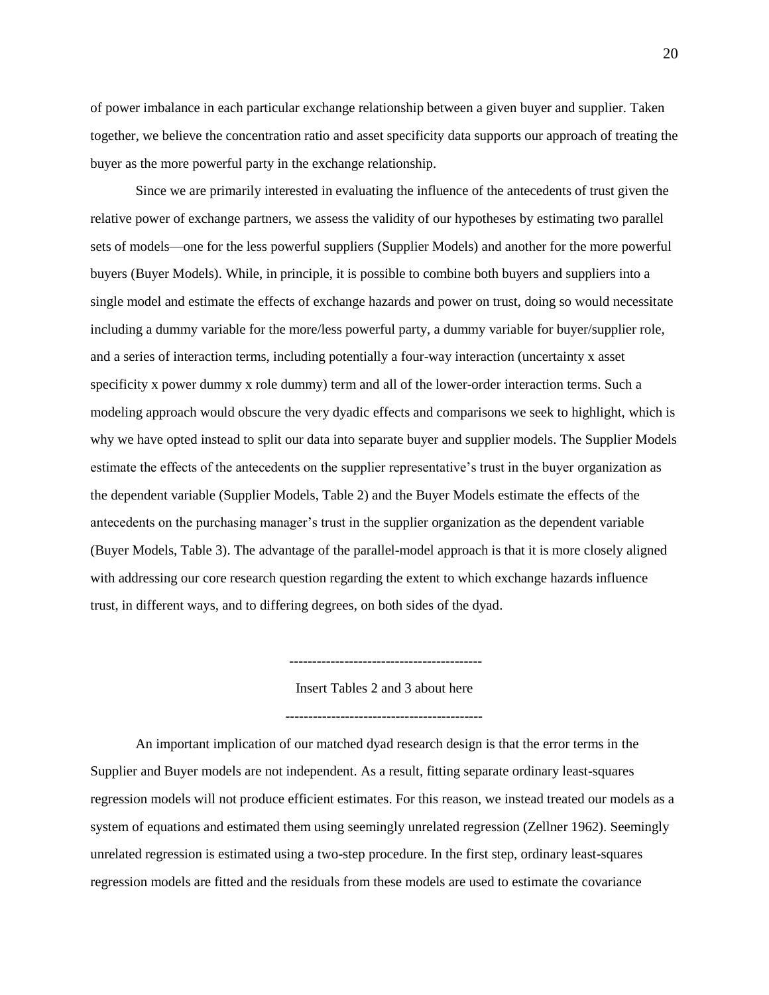of power imbalance in each particular exchange relationship between a given buyer and supplier. Taken together, we believe the concentration ratio and asset specificity data supports our approach of treating the buyer as the more powerful party in the exchange relationship.

Since we are primarily interested in evaluating the influence of the antecedents of trust given the relative power of exchange partners, we assess the validity of our hypotheses by estimating two parallel sets of models—one for the less powerful suppliers (Supplier Models) and another for the more powerful buyers (Buyer Models). While, in principle, it is possible to combine both buyers and suppliers into a single model and estimate the effects of exchange hazards and power on trust, doing so would necessitate including a dummy variable for the more/less powerful party, a dummy variable for buyer/supplier role, and a series of interaction terms, including potentially a four-way interaction (uncertainty x asset specificity x power dummy x role dummy) term and all of the lower-order interaction terms. Such a modeling approach would obscure the very dyadic effects and comparisons we seek to highlight, which is why we have opted instead to split our data into separate buyer and supplier models. The Supplier Models estimate the effects of the antecedents on the supplier representative's trust in the buyer organization as the dependent variable (Supplier Models, Table 2) and the Buyer Models estimate the effects of the antecedents on the purchasing manager's trust in the supplier organization as the dependent variable (Buyer Models, Table 3). The advantage of the parallel-model approach is that it is more closely aligned with addressing our core research question regarding the extent to which exchange hazards influence trust, in different ways, and to differing degrees, on both sides of the dyad.

Insert Tables 2 and 3 about here

-------------------------------------------

------------------------------------------

An important implication of our matched dyad research design is that the error terms in the Supplier and Buyer models are not independent. As a result, fitting separate ordinary least-squares regression models will not produce efficient estimates. For this reason, we instead treated our models as a system of equations and estimated them using seemingly unrelated regression (Zellner 1962). Seemingly unrelated regression is estimated using a two-step procedure. In the first step, ordinary least-squares regression models are fitted and the residuals from these models are used to estimate the covariance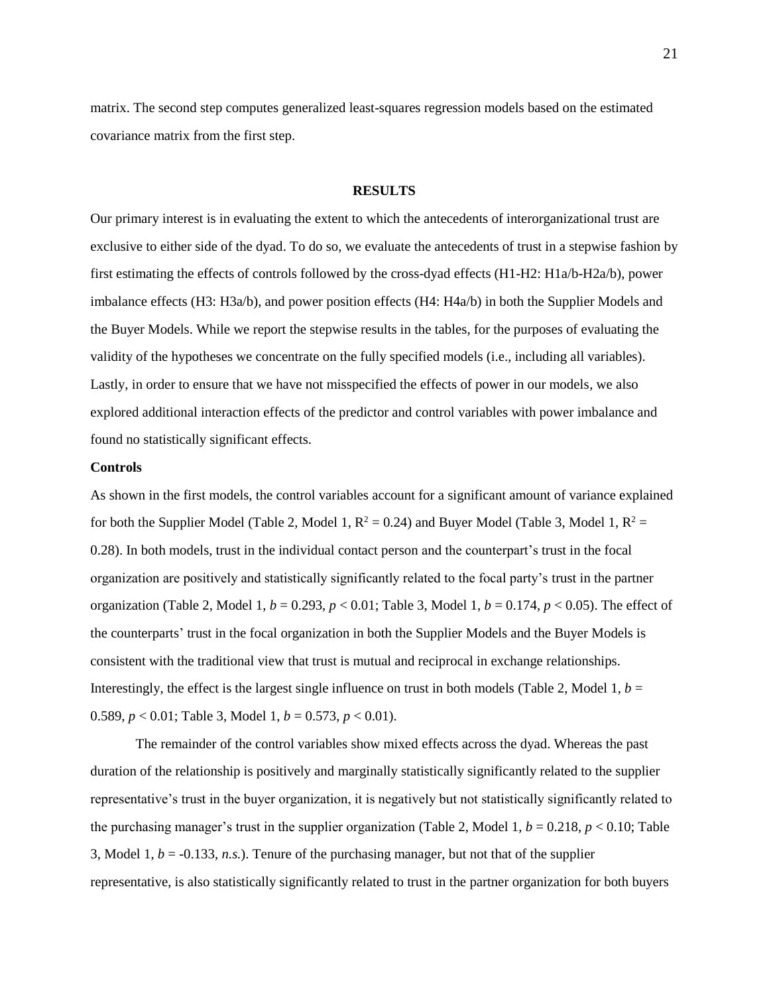matrix. The second step computes generalized least-squares regression models based on the estimated covariance matrix from the first step.

#### **RESULTS**

Our primary interest is in evaluating the extent to which the antecedents of interorganizational trust are exclusive to either side of the dyad. To do so, we evaluate the antecedents of trust in a stepwise fashion by first estimating the effects of controls followed by the cross-dyad effects (H1-H2: H1a/b-H2a/b), power imbalance effects (H3: H3a/b), and power position effects (H4: H4a/b) in both the Supplier Models and the Buyer Models. While we report the stepwise results in the tables, for the purposes of evaluating the validity of the hypotheses we concentrate on the fully specified models (i.e., including all variables). Lastly, in order to ensure that we have not misspecified the effects of power in our models, we also explored additional interaction effects of the predictor and control variables with power imbalance and found no statistically significant effects.

#### **Controls**

As shown in the first models, the control variables account for a significant amount of variance explained for both the Supplier Model (Table 2, Model 1,  $R^2 = 0.24$ ) and Buyer Model (Table 3, Model 1,  $R^2 =$ 0.28). In both models, trust in the individual contact person and the counterpart's trust in the focal organization are positively and statistically significantly related to the focal party's trust in the partner organization (Table 2, Model 1,  $b = 0.293$ ,  $p < 0.01$ ; Table 3, Model 1,  $b = 0.174$ ,  $p < 0.05$ ). The effect of the counterparts' trust in the focal organization in both the Supplier Models and the Buyer Models is consistent with the traditional view that trust is mutual and reciprocal in exchange relationships. Interestingly, the effect is the largest single influence on trust in both models (Table 2, Model 1,  $b =$ 0.589, *p* < 0.01; Table 3, Model 1, *b* = 0.573, *p* < 0.01).

The remainder of the control variables show mixed effects across the dyad. Whereas the past duration of the relationship is positively and marginally statistically significantly related to the supplier representative's trust in the buyer organization, it is negatively but not statistically significantly related to the purchasing manager's trust in the supplier organization (Table 2, Model 1,  $b = 0.218$ ,  $p < 0.10$ ; Table 3, Model 1,  $b = -0.133$ , *n.s.*). Tenure of the purchasing manager, but not that of the supplier representative, is also statistically significantly related to trust in the partner organization for both buyers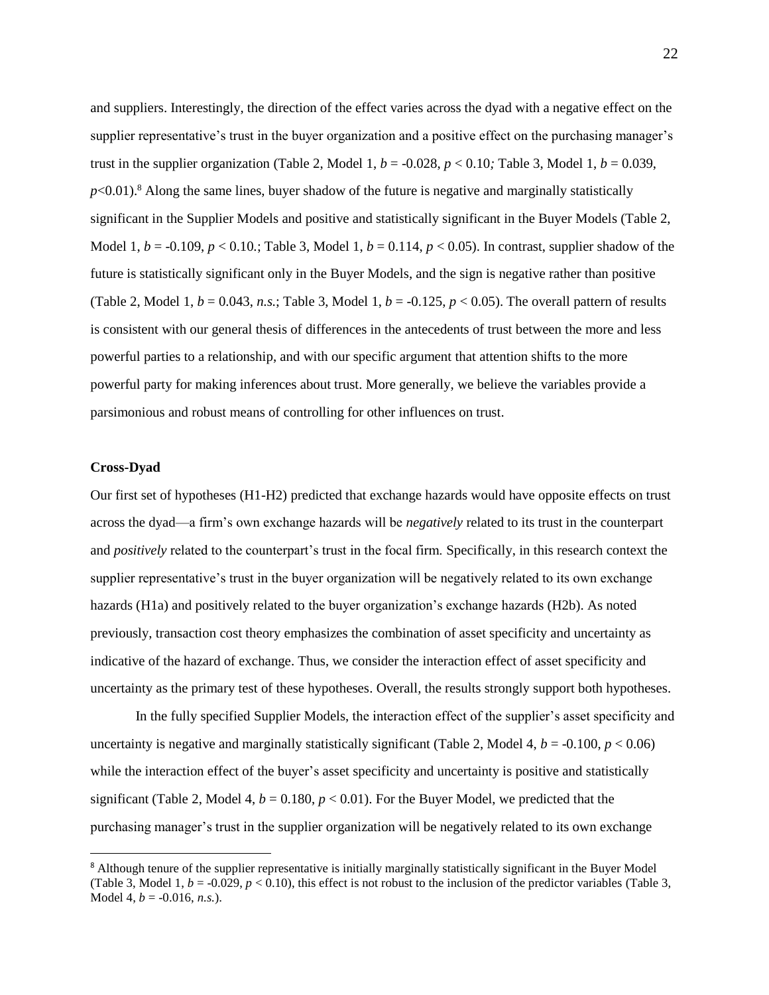and suppliers. Interestingly, the direction of the effect varies across the dyad with a negative effect on the supplier representative's trust in the buyer organization and a positive effect on the purchasing manager's trust in the supplier organization (Table 2, Model 1,  $b = -0.028$ ,  $p < 0.10$ ; Table 3, Model 1,  $b = 0.039$ , *p*<0.01). <sup>8</sup> Along the same lines, buyer shadow of the future is negative and marginally statistically significant in the Supplier Models and positive and statistically significant in the Buyer Models (Table 2, Model 1,  $b = -0.109$ ,  $p < 0.10$ ; Table 3, Model 1,  $b = 0.114$ ,  $p < 0.05$ ). In contrast, supplier shadow of the future is statistically significant only in the Buyer Models, and the sign is negative rather than positive (Table 2, Model 1,  $b = 0.043$ , *n.s.*; Table 3, Model 1,  $b = -0.125$ ,  $p < 0.05$ ). The overall pattern of results is consistent with our general thesis of differences in the antecedents of trust between the more and less powerful parties to a relationship, and with our specific argument that attention shifts to the more powerful party for making inferences about trust. More generally, we believe the variables provide a parsimonious and robust means of controlling for other influences on trust.

#### **Cross-Dyad**

 $\overline{\phantom{a}}$ 

Our first set of hypotheses (H1-H2) predicted that exchange hazards would have opposite effects on trust across the dyad—a firm's own exchange hazards will be *negatively* related to its trust in the counterpart and *positively* related to the counterpart's trust in the focal firm. Specifically, in this research context the supplier representative's trust in the buyer organization will be negatively related to its own exchange hazards (H1a) and positively related to the buyer organization's exchange hazards (H2b). As noted previously, transaction cost theory emphasizes the combination of asset specificity and uncertainty as indicative of the hazard of exchange. Thus, we consider the interaction effect of asset specificity and uncertainty as the primary test of these hypotheses. Overall, the results strongly support both hypotheses.

In the fully specified Supplier Models, the interaction effect of the supplier's asset specificity and uncertainty is negative and marginally statistically significant (Table 2, Model 4,  $b = -0.100$ ,  $p < 0.06$ ) while the interaction effect of the buyer's asset specificity and uncertainty is positive and statistically significant (Table 2, Model 4,  $b = 0.180$ ,  $p < 0.01$ ). For the Buyer Model, we predicted that the purchasing manager's trust in the supplier organization will be negatively related to its own exchange

<sup>&</sup>lt;sup>8</sup> Although tenure of the supplier representative is initially marginally statistically significant in the Buyer Model (Table 3, Model 1,  $b = -0.029$ ,  $p < 0.10$ ), this effect is not robust to the inclusion of the predictor variables (Table 3, Model 4, *b* = -0.016, *n.s.*).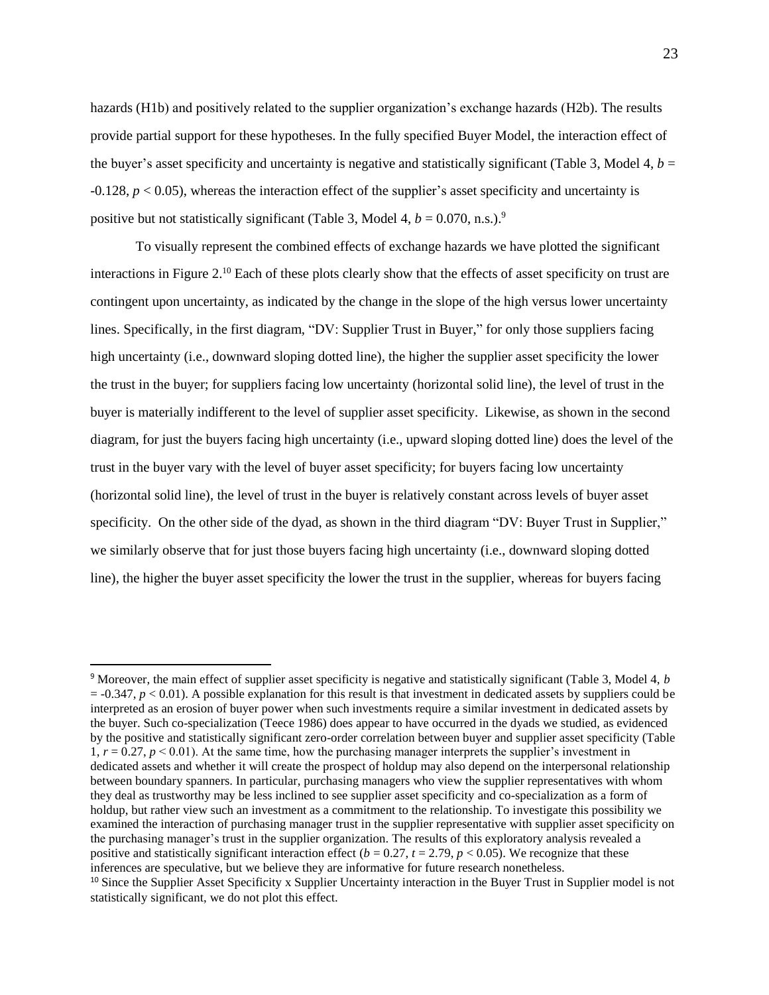hazards (H1b) and positively related to the supplier organization's exchange hazards (H2b). The results provide partial support for these hypotheses. In the fully specified Buyer Model, the interaction effect of the buyer's asset specificity and uncertainty is negative and statistically significant (Table 3, Model 4,  $b =$ -0.128, *p* < 0.05), whereas the interaction effect of the supplier's asset specificity and uncertainty is positive but not statistically significant (Table 3, Model 4,  $b = 0.070$ , n.s.).<sup>9</sup>

To visually represent the combined effects of exchange hazards we have plotted the significant interactions in Figure 2. <sup>10</sup> Each of these plots clearly show that the effects of asset specificity on trust are contingent upon uncertainty, as indicated by the change in the slope of the high versus lower uncertainty lines. Specifically, in the first diagram, "DV: Supplier Trust in Buyer," for only those suppliers facing high uncertainty (i.e., downward sloping dotted line), the higher the supplier asset specificity the lower the trust in the buyer; for suppliers facing low uncertainty (horizontal solid line), the level of trust in the buyer is materially indifferent to the level of supplier asset specificity. Likewise, as shown in the second diagram, for just the buyers facing high uncertainty (i.e., upward sloping dotted line) does the level of the trust in the buyer vary with the level of buyer asset specificity; for buyers facing low uncertainty (horizontal solid line), the level of trust in the buyer is relatively constant across levels of buyer asset specificity. On the other side of the dyad, as shown in the third diagram "DV: Buyer Trust in Supplier," we similarly observe that for just those buyers facing high uncertainty (i.e., downward sloping dotted line), the higher the buyer asset specificity the lower the trust in the supplier, whereas for buyers facing

 $\overline{\phantom{a}}$ 

<sup>9</sup> Moreover, the main effect of supplier asset specificity is negative and statistically significant (Table 3, Model 4, *b*  $= -0.347$ ,  $p < 0.01$ ). A possible explanation for this result is that investment in dedicated assets by suppliers could be interpreted as an erosion of buyer power when such investments require a similar investment in dedicated assets by the buyer. Such co-specialization (Teece 1986) does appear to have occurred in the dyads we studied, as evidenced by the positive and statistically significant zero-order correlation between buyer and supplier asset specificity (Table 1,  $r = 0.27$ ,  $p < 0.01$ ). At the same time, how the purchasing manager interprets the supplier's investment in dedicated assets and whether it will create the prospect of holdup may also depend on the interpersonal relationship between boundary spanners. In particular, purchasing managers who view the supplier representatives with whom they deal as trustworthy may be less inclined to see supplier asset specificity and co-specialization as a form of holdup, but rather view such an investment as a commitment to the relationship. To investigate this possibility we examined the interaction of purchasing manager trust in the supplier representative with supplier asset specificity on the purchasing manager's trust in the supplier organization. The results of this exploratory analysis revealed a positive and statistically significant interaction effect ( $b = 0.27$ ,  $t = 2.79$ ,  $p < 0.05$ ). We recognize that these inferences are speculative, but we believe they are informative for future research nonetheless.

 $10$  Since the Supplier Asset Specificity x Supplier Uncertainty interaction in the Buyer Trust in Supplier model is not statistically significant, we do not plot this effect.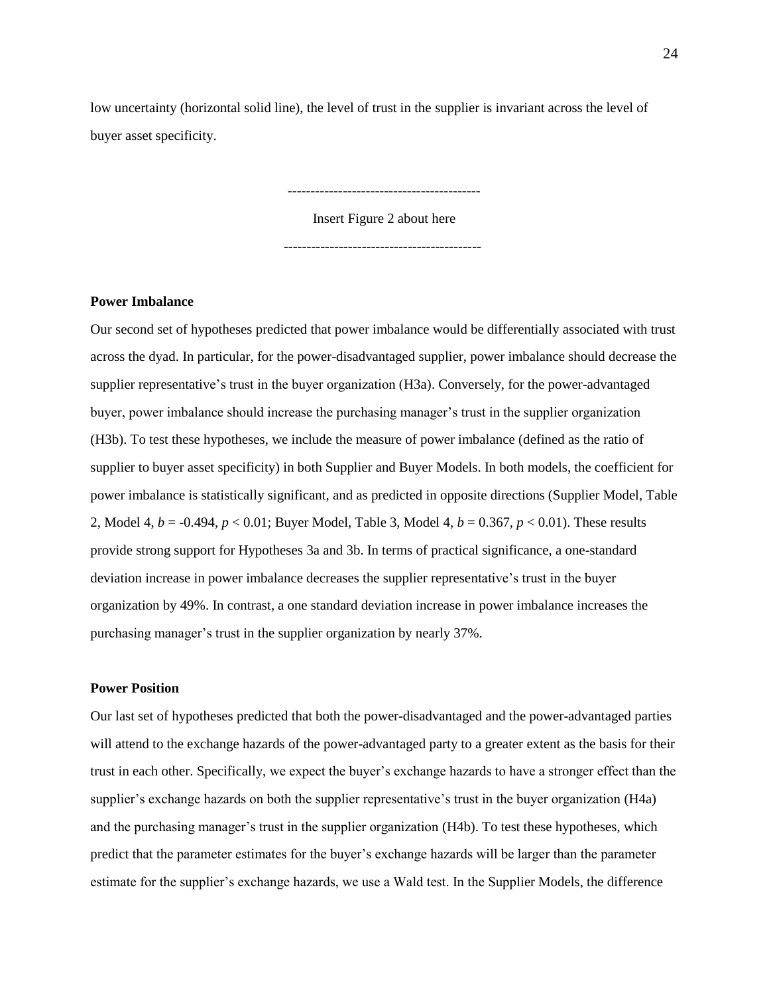low uncertainty (horizontal solid line), the level of trust in the supplier is invariant across the level of buyer asset specificity.

------------------------------------------

Insert Figure 2 about here -------------------------------------------

#### **Power Imbalance**

Our second set of hypotheses predicted that power imbalance would be differentially associated with trust across the dyad. In particular, for the power-disadvantaged supplier, power imbalance should decrease the supplier representative's trust in the buyer organization (H3a). Conversely, for the power-advantaged buyer, power imbalance should increase the purchasing manager's trust in the supplier organization (H3b). To test these hypotheses, we include the measure of power imbalance (defined as the ratio of supplier to buyer asset specificity) in both Supplier and Buyer Models. In both models, the coefficient for power imbalance is statistically significant, and as predicted in opposite directions (Supplier Model, Table 2, Model 4, *b* = -0.494, *p* < 0.01; Buyer Model, Table 3, Model 4, *b* = 0.367, *p* < 0.01). These results provide strong support for Hypotheses 3a and 3b. In terms of practical significance, a one-standard deviation increase in power imbalance decreases the supplier representative's trust in the buyer organization by 49%. In contrast, a one standard deviation increase in power imbalance increases the purchasing manager's trust in the supplier organization by nearly 37%.

## **Power Position**

Our last set of hypotheses predicted that both the power-disadvantaged and the power-advantaged parties will attend to the exchange hazards of the power-advantaged party to a greater extent as the basis for their trust in each other. Specifically, we expect the buyer's exchange hazards to have a stronger effect than the supplier's exchange hazards on both the supplier representative's trust in the buyer organization (H4a) and the purchasing manager's trust in the supplier organization (H4b). To test these hypotheses, which predict that the parameter estimates for the buyer's exchange hazards will be larger than the parameter estimate for the supplier's exchange hazards, we use a Wald test. In the Supplier Models, the difference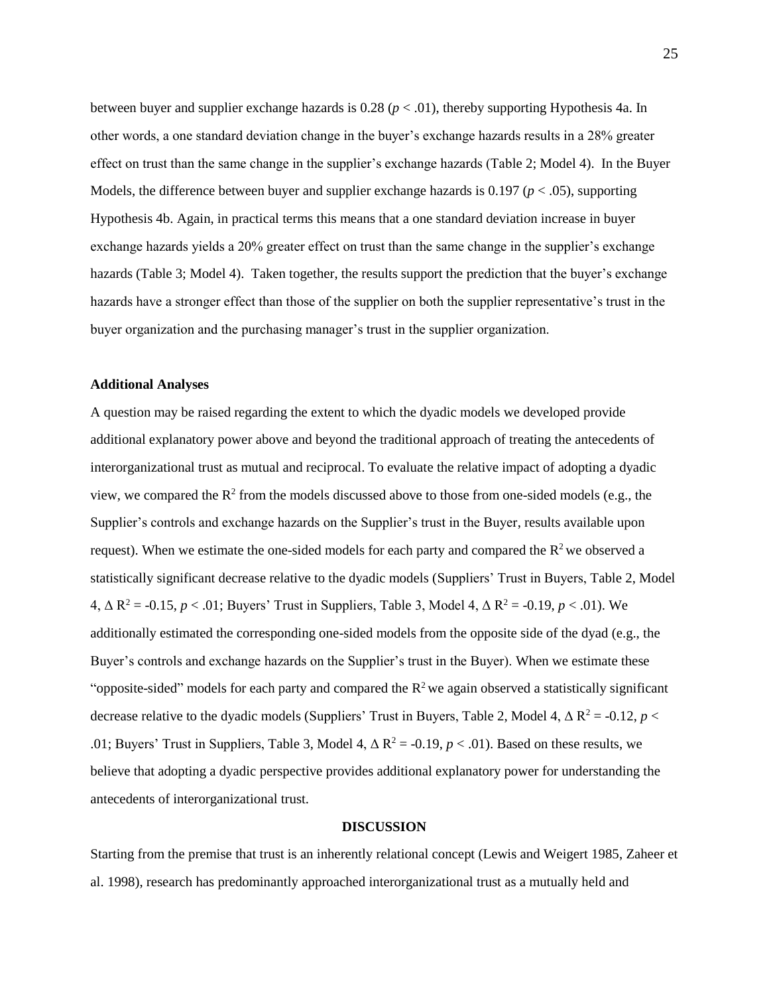between buyer and supplier exchange hazards is 0.28 (*p* < .01), thereby supporting Hypothesis 4a. In other words, a one standard deviation change in the buyer's exchange hazards results in a 28% greater effect on trust than the same change in the supplier's exchange hazards (Table 2; Model 4). In the Buyer Models, the difference between buyer and supplier exchange hazards is  $0.197$  ( $p < .05$ ), supporting Hypothesis 4b. Again, in practical terms this means that a one standard deviation increase in buyer exchange hazards yields a 20% greater effect on trust than the same change in the supplier's exchange hazards (Table 3; Model 4). Taken together, the results support the prediction that the buyer's exchange hazards have a stronger effect than those of the supplier on both the supplier representative's trust in the buyer organization and the purchasing manager's trust in the supplier organization.

#### **Additional Analyses**

A question may be raised regarding the extent to which the dyadic models we developed provide additional explanatory power above and beyond the traditional approach of treating the antecedents of interorganizational trust as mutual and reciprocal. To evaluate the relative impact of adopting a dyadic view, we compared the  $\mathbb{R}^2$  from the models discussed above to those from one-sided models (e.g., the Supplier's controls and exchange hazards on the Supplier's trust in the Buyer, results available upon request). When we estimate the one-sided models for each party and compared the  $\mathbb{R}^2$  we observed a statistically significant decrease relative to the dyadic models (Suppliers' Trust in Buyers, Table 2, Model 4,  $\Delta R^2 = -0.15$ ,  $p < .01$ ; Buyers' Trust in Suppliers, Table 3, Model 4,  $\Delta R^2 = -0.19$ ,  $p < .01$ ). We additionally estimated the corresponding one-sided models from the opposite side of the dyad (e.g., the Buyer's controls and exchange hazards on the Supplier's trust in the Buyer). When we estimate these "opposite-sided" models for each party and compared the  $\mathbb{R}^2$  we again observed a statistically significant decrease relative to the dyadic models (Suppliers' Trust in Buyers, Table 2, Model 4,  $\Delta R^2 = -0.12$ ,  $p <$ .01; Buyers' Trust in Suppliers, Table 3, Model 4,  $\Delta R^2 = -0.19$ ,  $p < .01$ ). Based on these results, we believe that adopting a dyadic perspective provides additional explanatory power for understanding the antecedents of interorganizational trust.

#### **DISCUSSION**

Starting from the premise that trust is an inherently relational concept (Lewis and Weigert 1985, Zaheer et al. 1998), research has predominantly approached interorganizational trust as a mutually held and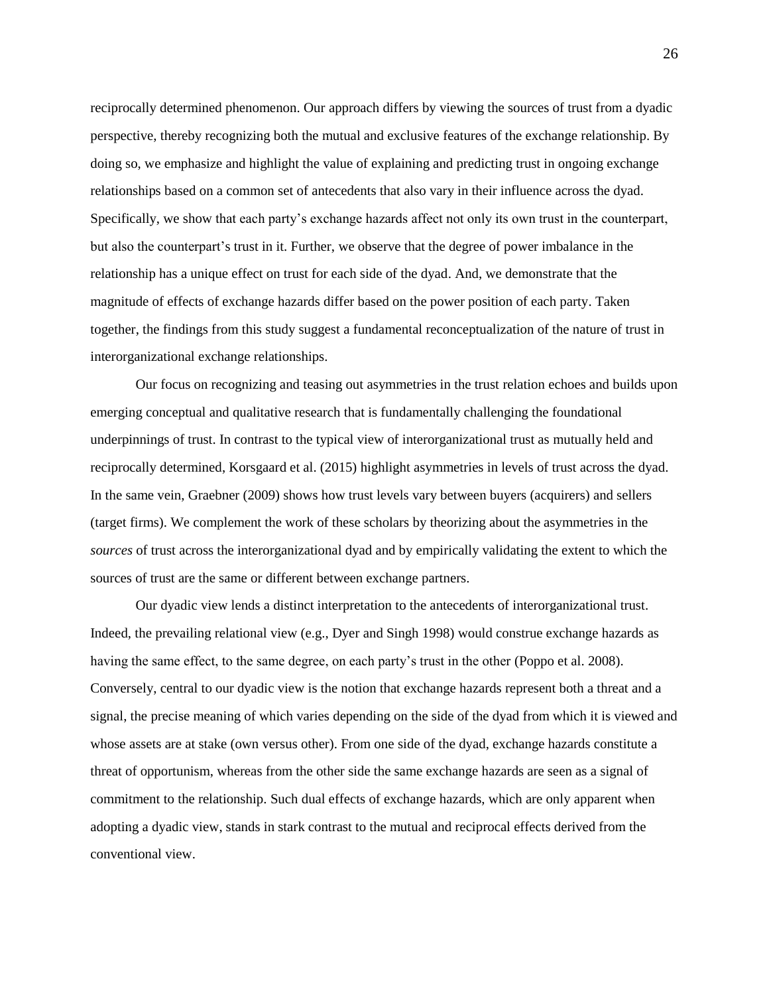reciprocally determined phenomenon. Our approach differs by viewing the sources of trust from a dyadic perspective, thereby recognizing both the mutual and exclusive features of the exchange relationship. By doing so, we emphasize and highlight the value of explaining and predicting trust in ongoing exchange relationships based on a common set of antecedents that also vary in their influence across the dyad. Specifically, we show that each party's exchange hazards affect not only its own trust in the counterpart, but also the counterpart's trust in it. Further, we observe that the degree of power imbalance in the relationship has a unique effect on trust for each side of the dyad. And, we demonstrate that the magnitude of effects of exchange hazards differ based on the power position of each party. Taken together, the findings from this study suggest a fundamental reconceptualization of the nature of trust in interorganizational exchange relationships.

Our focus on recognizing and teasing out asymmetries in the trust relation echoes and builds upon emerging conceptual and qualitative research that is fundamentally challenging the foundational underpinnings of trust. In contrast to the typical view of interorganizational trust as mutually held and reciprocally determined, Korsgaard et al. (2015) highlight asymmetries in levels of trust across the dyad. In the same vein, Graebner (2009) shows how trust levels vary between buyers (acquirers) and sellers (target firms). We complement the work of these scholars by theorizing about the asymmetries in the *sources* of trust across the interorganizational dyad and by empirically validating the extent to which the sources of trust are the same or different between exchange partners.

Our dyadic view lends a distinct interpretation to the antecedents of interorganizational trust. Indeed, the prevailing relational view (e.g., Dyer and Singh 1998) would construe exchange hazards as having the same effect, to the same degree, on each party's trust in the other (Poppo et al. 2008). Conversely, central to our dyadic view is the notion that exchange hazards represent both a threat and a signal, the precise meaning of which varies depending on the side of the dyad from which it is viewed and whose assets are at stake (own versus other). From one side of the dyad, exchange hazards constitute a threat of opportunism, whereas from the other side the same exchange hazards are seen as a signal of commitment to the relationship. Such dual effects of exchange hazards, which are only apparent when adopting a dyadic view, stands in stark contrast to the mutual and reciprocal effects derived from the conventional view.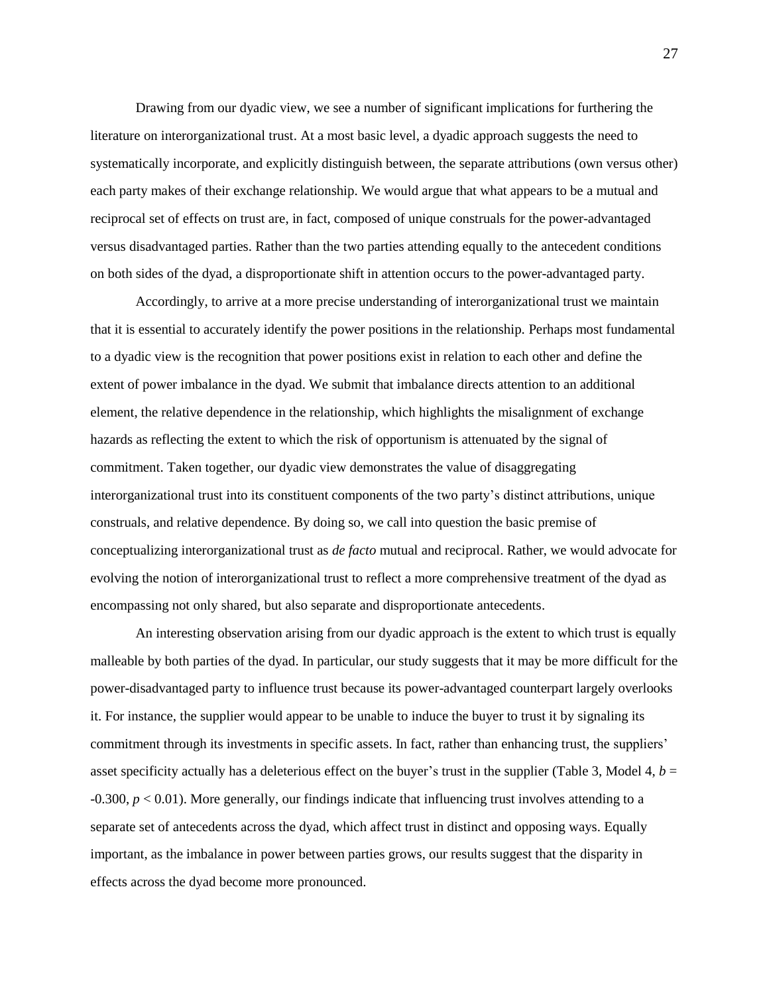Drawing from our dyadic view, we see a number of significant implications for furthering the literature on interorganizational trust. At a most basic level, a dyadic approach suggests the need to systematically incorporate, and explicitly distinguish between, the separate attributions (own versus other) each party makes of their exchange relationship. We would argue that what appears to be a mutual and reciprocal set of effects on trust are, in fact, composed of unique construals for the power-advantaged versus disadvantaged parties. Rather than the two parties attending equally to the antecedent conditions on both sides of the dyad, a disproportionate shift in attention occurs to the power-advantaged party.

Accordingly, to arrive at a more precise understanding of interorganizational trust we maintain that it is essential to accurately identify the power positions in the relationship. Perhaps most fundamental to a dyadic view is the recognition that power positions exist in relation to each other and define the extent of power imbalance in the dyad. We submit that imbalance directs attention to an additional element, the relative dependence in the relationship, which highlights the misalignment of exchange hazards as reflecting the extent to which the risk of opportunism is attenuated by the signal of commitment. Taken together, our dyadic view demonstrates the value of disaggregating interorganizational trust into its constituent components of the two party's distinct attributions, unique construals, and relative dependence. By doing so, we call into question the basic premise of conceptualizing interorganizational trust as *de facto* mutual and reciprocal. Rather, we would advocate for evolving the notion of interorganizational trust to reflect a more comprehensive treatment of the dyad as encompassing not only shared, but also separate and disproportionate antecedents.

An interesting observation arising from our dyadic approach is the extent to which trust is equally malleable by both parties of the dyad. In particular, our study suggests that it may be more difficult for the power-disadvantaged party to influence trust because its power-advantaged counterpart largely overlooks it. For instance, the supplier would appear to be unable to induce the buyer to trust it by signaling its commitment through its investments in specific assets. In fact, rather than enhancing trust, the suppliers' asset specificity actually has a deleterious effect on the buyer's trust in the supplier (Table 3, Model 4,  $b =$  $-0.300, p < 0.01$ ). More generally, our findings indicate that influencing trust involves attending to a separate set of antecedents across the dyad, which affect trust in distinct and opposing ways. Equally important, as the imbalance in power between parties grows, our results suggest that the disparity in effects across the dyad become more pronounced.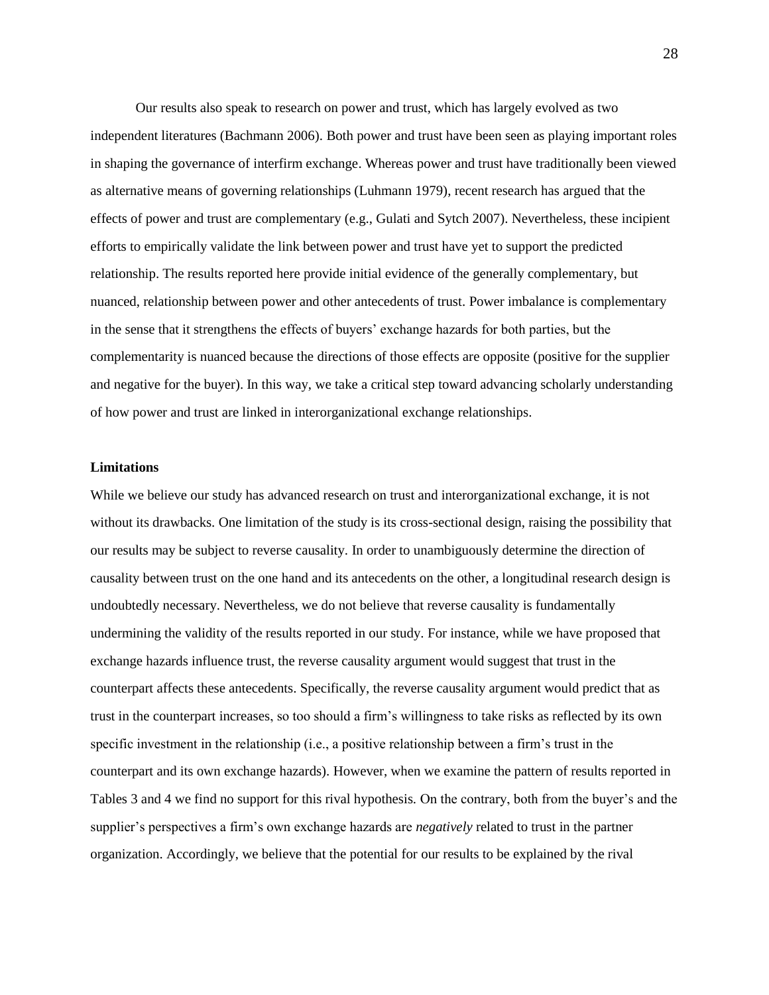Our results also speak to research on power and trust, which has largely evolved as two independent literatures (Bachmann 2006). Both power and trust have been seen as playing important roles in shaping the governance of interfirm exchange. Whereas power and trust have traditionally been viewed as alternative means of governing relationships (Luhmann 1979), recent research has argued that the effects of power and trust are complementary (e.g., Gulati and Sytch 2007). Nevertheless, these incipient efforts to empirically validate the link between power and trust have yet to support the predicted relationship. The results reported here provide initial evidence of the generally complementary, but nuanced, relationship between power and other antecedents of trust. Power imbalance is complementary in the sense that it strengthens the effects of buyers' exchange hazards for both parties, but the complementarity is nuanced because the directions of those effects are opposite (positive for the supplier and negative for the buyer). In this way, we take a critical step toward advancing scholarly understanding of how power and trust are linked in interorganizational exchange relationships.

#### **Limitations**

While we believe our study has advanced research on trust and interorganizational exchange, it is not without its drawbacks. One limitation of the study is its cross-sectional design, raising the possibility that our results may be subject to reverse causality. In order to unambiguously determine the direction of causality between trust on the one hand and its antecedents on the other, a longitudinal research design is undoubtedly necessary. Nevertheless, we do not believe that reverse causality is fundamentally undermining the validity of the results reported in our study. For instance, while we have proposed that exchange hazards influence trust, the reverse causality argument would suggest that trust in the counterpart affects these antecedents. Specifically, the reverse causality argument would predict that as trust in the counterpart increases, so too should a firm's willingness to take risks as reflected by its own specific investment in the relationship (i.e., a positive relationship between a firm's trust in the counterpart and its own exchange hazards). However, when we examine the pattern of results reported in Tables 3 and 4 we find no support for this rival hypothesis. On the contrary, both from the buyer's and the supplier's perspectives a firm's own exchange hazards are *negatively* related to trust in the partner organization. Accordingly, we believe that the potential for our results to be explained by the rival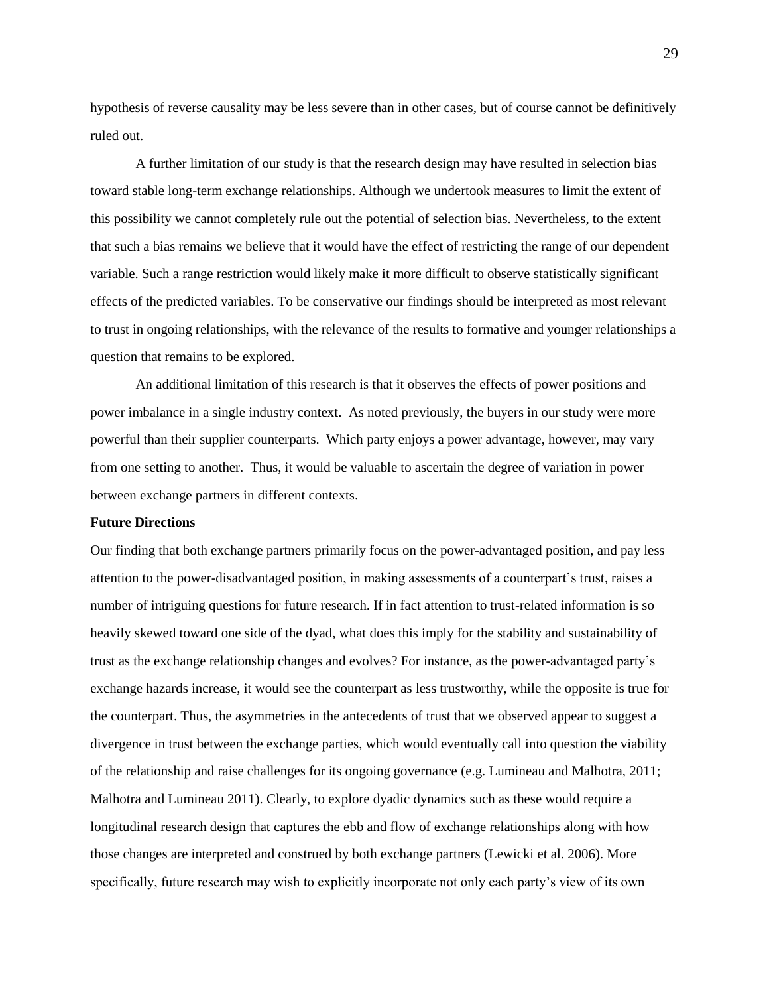hypothesis of reverse causality may be less severe than in other cases, but of course cannot be definitively ruled out.

A further limitation of our study is that the research design may have resulted in selection bias toward stable long-term exchange relationships. Although we undertook measures to limit the extent of this possibility we cannot completely rule out the potential of selection bias. Nevertheless, to the extent that such a bias remains we believe that it would have the effect of restricting the range of our dependent variable. Such a range restriction would likely make it more difficult to observe statistically significant effects of the predicted variables. To be conservative our findings should be interpreted as most relevant to trust in ongoing relationships, with the relevance of the results to formative and younger relationships a question that remains to be explored.

An additional limitation of this research is that it observes the effects of power positions and power imbalance in a single industry context. As noted previously, the buyers in our study were more powerful than their supplier counterparts. Which party enjoys a power advantage, however, may vary from one setting to another. Thus, it would be valuable to ascertain the degree of variation in power between exchange partners in different contexts.

#### **Future Directions**

Our finding that both exchange partners primarily focus on the power-advantaged position, and pay less attention to the power-disadvantaged position, in making assessments of a counterpart's trust, raises a number of intriguing questions for future research. If in fact attention to trust-related information is so heavily skewed toward one side of the dyad, what does this imply for the stability and sustainability of trust as the exchange relationship changes and evolves? For instance, as the power-advantaged party's exchange hazards increase, it would see the counterpart as less trustworthy, while the opposite is true for the counterpart. Thus, the asymmetries in the antecedents of trust that we observed appear to suggest a divergence in trust between the exchange parties, which would eventually call into question the viability of the relationship and raise challenges for its ongoing governance (e.g. Lumineau and Malhotra, 2011; Malhotra and Lumineau 2011). Clearly, to explore dyadic dynamics such as these would require a longitudinal research design that captures the ebb and flow of exchange relationships along with how those changes are interpreted and construed by both exchange partners (Lewicki et al. 2006). More specifically, future research may wish to explicitly incorporate not only each party's view of its own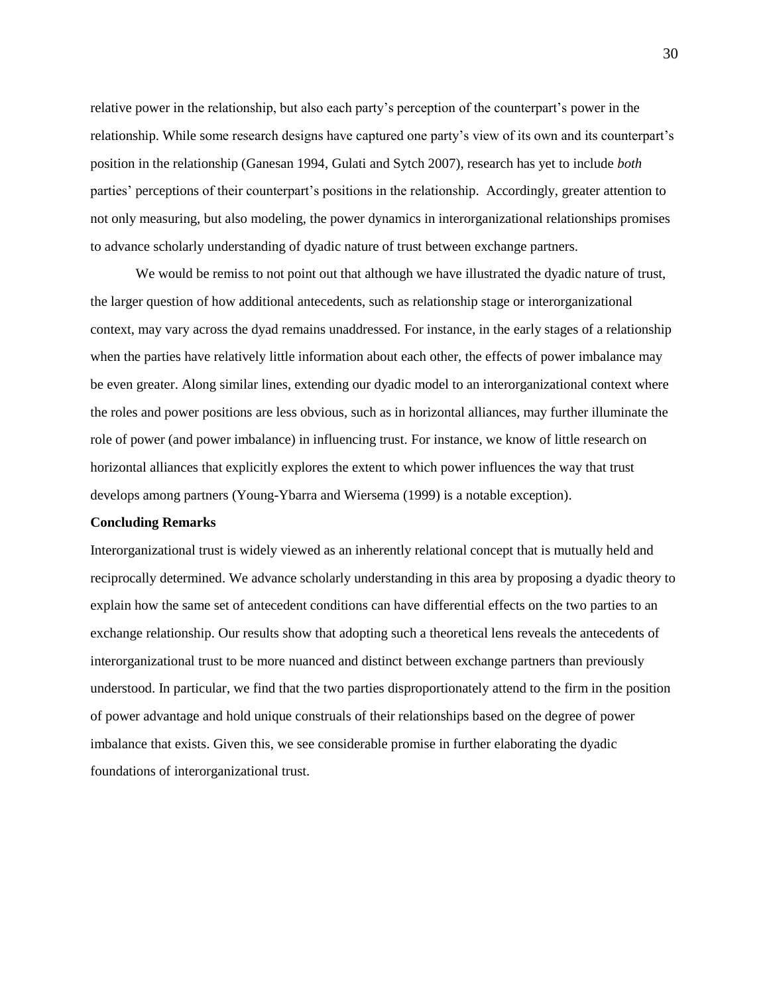relative power in the relationship, but also each party's perception of the counterpart's power in the relationship. While some research designs have captured one party's view of its own and its counterpart's position in the relationship (Ganesan 1994, Gulati and Sytch 2007), research has yet to include *both* parties' perceptions of their counterpart's positions in the relationship. Accordingly, greater attention to not only measuring, but also modeling, the power dynamics in interorganizational relationships promises to advance scholarly understanding of dyadic nature of trust between exchange partners.

We would be remiss to not point out that although we have illustrated the dyadic nature of trust, the larger question of how additional antecedents, such as relationship stage or interorganizational context, may vary across the dyad remains unaddressed. For instance, in the early stages of a relationship when the parties have relatively little information about each other, the effects of power imbalance may be even greater. Along similar lines, extending our dyadic model to an interorganizational context where the roles and power positions are less obvious, such as in horizontal alliances, may further illuminate the role of power (and power imbalance) in influencing trust. For instance, we know of little research on horizontal alliances that explicitly explores the extent to which power influences the way that trust develops among partners (Young-Ybarra and Wiersema (1999) is a notable exception).

#### **Concluding Remarks**

Interorganizational trust is widely viewed as an inherently relational concept that is mutually held and reciprocally determined. We advance scholarly understanding in this area by proposing a dyadic theory to explain how the same set of antecedent conditions can have differential effects on the two parties to an exchange relationship. Our results show that adopting such a theoretical lens reveals the antecedents of interorganizational trust to be more nuanced and distinct between exchange partners than previously understood. In particular, we find that the two parties disproportionately attend to the firm in the position of power advantage and hold unique construals of their relationships based on the degree of power imbalance that exists. Given this, we see considerable promise in further elaborating the dyadic foundations of interorganizational trust.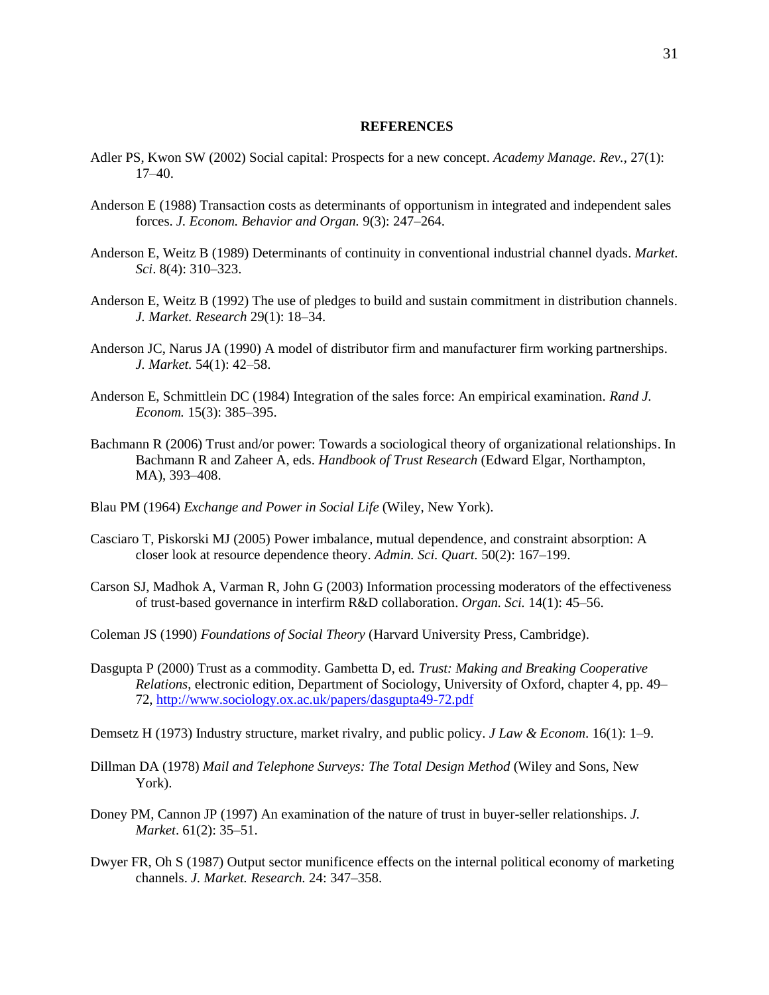#### **REFERENCES**

- Adler PS, Kwon SW (2002) Social capital: Prospects for a new concept. *Academy Manage. Rev.*, 27(1): 17–40.
- Anderson E (1988) Transaction costs as determinants of opportunism in integrated and independent sales forces. *J. Econom. Behavior and Organ.* 9(3): 247–264.
- Anderson E, Weitz B (1989) Determinants of continuity in conventional industrial channel dyads. *Market. Sci*. 8(4): 310–323.
- Anderson E, Weitz B (1992) The use of pledges to build and sustain commitment in distribution channels. *J. Market. Research* 29(1): 18–34.
- Anderson JC, Narus JA (1990) A model of distributor firm and manufacturer firm working partnerships. *J. Market.* 54(1): 42–58.
- Anderson E, Schmittlein DC (1984) Integration of the sales force: An empirical examination. *Rand J. Econom.* 15(3): 385–395.
- Bachmann R (2006) Trust and/or power: Towards a sociological theory of organizational relationships. In Bachmann R and Zaheer A, eds. *Handbook of Trust Research* (Edward Elgar, Northampton, MA), 393–408.
- Blau PM (1964) *Exchange and Power in Social Life* (Wiley, New York).
- Casciaro T, Piskorski MJ (2005) Power imbalance, mutual dependence, and constraint absorption: A closer look at resource dependence theory. *Admin. Sci. Quart.* 50(2): 167–199.
- Carson SJ, Madhok A, Varman R, John G (2003) Information processing moderators of the effectiveness of trust-based governance in interfirm R&D collaboration. *Organ. Sci.* 14(1): 45–56.
- Coleman JS (1990) *Foundations of Social Theory* (Harvard University Press, Cambridge).
- Dasgupta P (2000) Trust as a commodity. Gambetta D, ed. *Trust: Making and Breaking Cooperative Relations*, electronic edition, Department of Sociology, University of Oxford, chapter 4, pp. 49– 72,<http://www.sociology.ox.ac.uk/papers/dasgupta49-72.pdf>
- Demsetz H (1973) Industry structure, market rivalry, and public policy. *J Law & Econom*. 16(1): 1–9.
- Dillman DA (1978) *Mail and Telephone Surveys: The Total Design Method* (Wiley and Sons, New York).
- Doney PM, Cannon JP (1997) An examination of the nature of trust in buyer-seller relationships. *J. Market*. 61(2): 35–51.
- Dwyer FR, Oh S (1987) Output sector munificence effects on the internal political economy of marketing channels. *J. Market. Research.* 24: 347–358.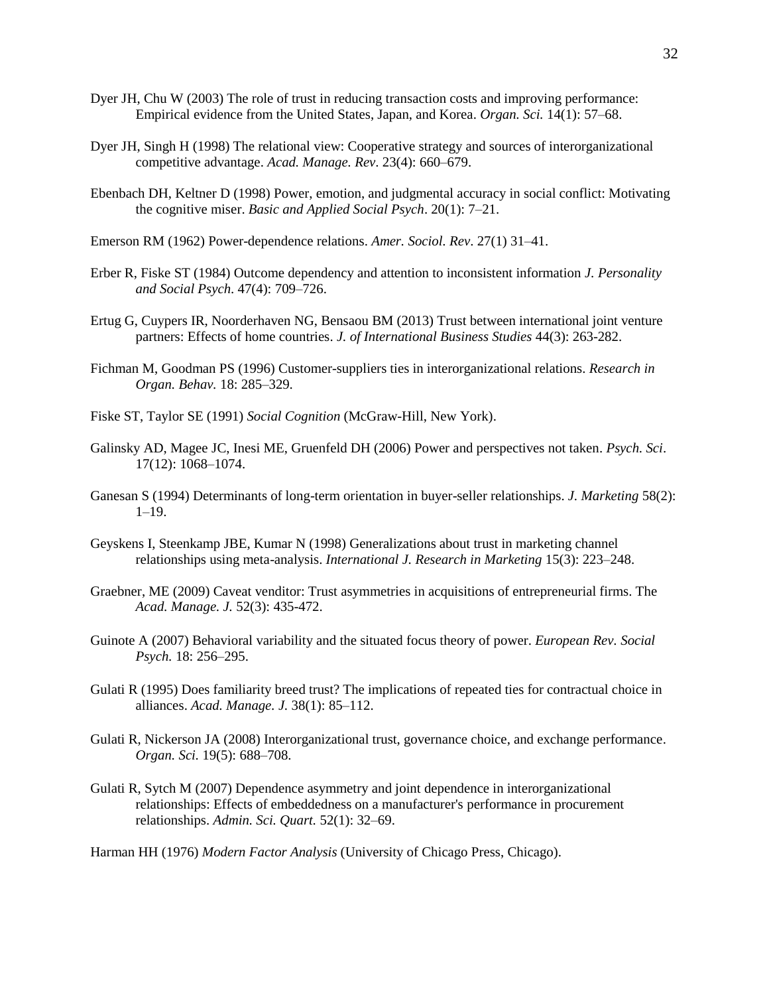- Dyer JH, Chu W (2003) The role of trust in reducing transaction costs and improving performance: Empirical evidence from the United States, Japan, and Korea. *Organ. Sci.* 14(1): 57–68.
- Dyer JH, Singh H (1998) The relational view: Cooperative strategy and sources of interorganizational competitive advantage. *Acad. Manage. Rev*. 23(4): 660–679.
- Ebenbach DH, Keltner D (1998) Power, emotion, and judgmental accuracy in social conflict: Motivating the cognitive miser. *Basic and Applied Social Psych*. 20(1): 7–21.
- Emerson RM (1962) Power-dependence relations. *Amer. Sociol. Rev*. 27(1) 31–41.
- Erber R, Fiske ST (1984) Outcome dependency and attention to inconsistent information *J. Personality and Social Psych*. 47(4): 709–726.
- Ertug G, Cuypers IR, Noorderhaven NG, Bensaou BM (2013) Trust between international joint venture partners: Effects of home countries. *J. of International Business Studies* 44(3): 263-282.
- Fichman M, Goodman PS (1996) Customer-suppliers ties in interorganizational relations. *Research in Organ. Behav.* 18: 285–329.
- Fiske ST, Taylor SE (1991) *Social Cognition* (McGraw-Hill, New York).
- Galinsky AD, Magee JC, Inesi ME, Gruenfeld DH (2006) Power and perspectives not taken. *Psych. Sci*. 17(12): 1068–1074.
- Ganesan S (1994) Determinants of long-term orientation in buyer-seller relationships. *J. Marketing* 58(2): 1–19.
- Geyskens I, Steenkamp JBE, Kumar N (1998) Generalizations about trust in marketing channel relationships using meta-analysis. *International J. Research in Marketing* 15(3): 223–248.
- Graebner, ME (2009) Caveat venditor: Trust asymmetries in acquisitions of entrepreneurial firms. The *Acad. Manage. J.* 52(3): 435-472.
- Guinote A (2007) Behavioral variability and the situated focus theory of power. *European Rev. Social Psych.* 18: 256–295.
- Gulati R (1995) Does familiarity breed trust? The implications of repeated ties for contractual choice in alliances. *Acad. Manage. J.* 38(1): 85–112.
- Gulati R, Nickerson JA (2008) Interorganizational trust, governance choice, and exchange performance. *Organ. Sci.* 19(5): 688–708.
- Gulati R, Sytch M (2007) Dependence asymmetry and joint dependence in interorganizational relationships: Effects of embeddedness on a manufacturer's performance in procurement relationships. *Admin. Sci. Quart.* 52(1): 32–69.

Harman HH (1976) *Modern Factor Analysis* (University of Chicago Press, Chicago).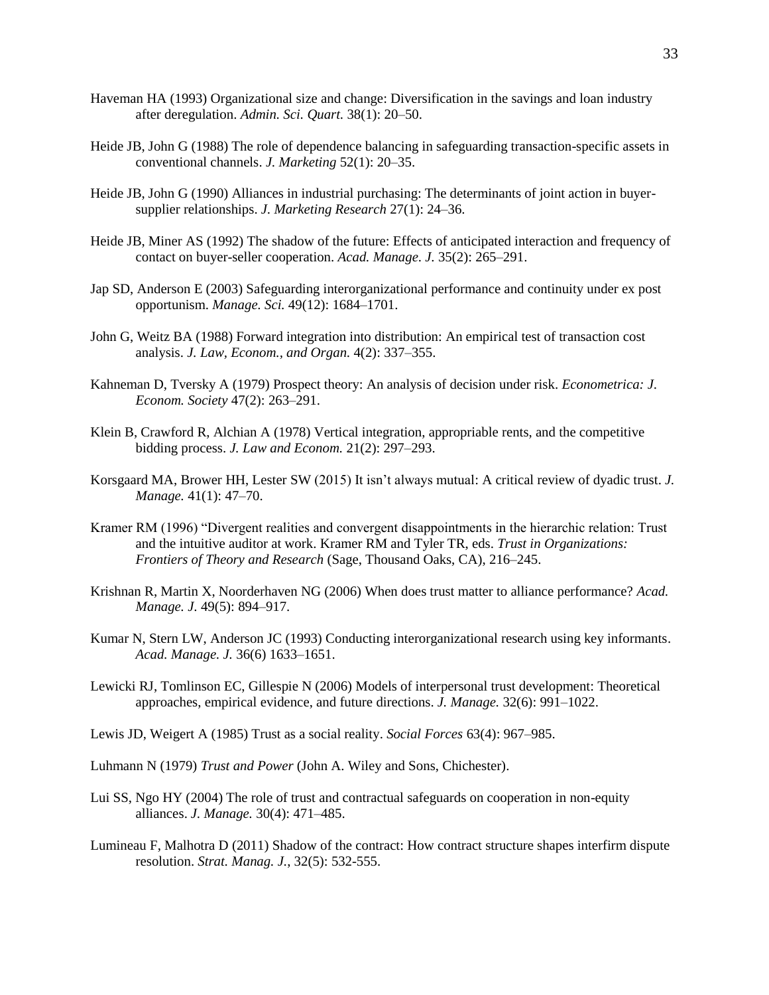- Haveman HA (1993) Organizational size and change: Diversification in the savings and loan industry after deregulation. *Admin. Sci. Quart.* 38(1): 20–50.
- Heide JB, John G (1988) The role of dependence balancing in safeguarding transaction-specific assets in conventional channels. *J. Marketing* 52(1): 20–35.
- Heide JB, John G (1990) Alliances in industrial purchasing: The determinants of joint action in buyersupplier relationships. *J. Marketing Research* 27(1): 24–36.
- Heide JB, Miner AS (1992) The shadow of the future: Effects of anticipated interaction and frequency of contact on buyer-seller cooperation. *Acad. Manage. J.* 35(2): 265–291.
- Jap SD, Anderson E (2003) Safeguarding interorganizational performance and continuity under ex post opportunism. *Manage. Sci.* 49(12): 1684–1701.
- John G, Weitz BA (1988) Forward integration into distribution: An empirical test of transaction cost analysis. *J. Law, Econom., and Organ.* 4(2): 337–355.
- Kahneman D, Tversky A (1979) Prospect theory: An analysis of decision under risk. *Econometrica: J. Econom. Society* 47(2): 263–291.
- Klein B, Crawford R, Alchian A (1978) Vertical integration, appropriable rents, and the competitive bidding process. *J. Law and Econom.* 21(2): 297–293.
- Korsgaard MA, Brower HH, Lester SW (2015) It isn't always mutual: A critical review of dyadic trust. *J. Manage.* 41(1): 47–70.
- Kramer RM (1996) "Divergent realities and convergent disappointments in the hierarchic relation: Trust and the intuitive auditor at work. Kramer RM and Tyler TR, eds. *Trust in Organizations: Frontiers of Theory and Research* (Sage, Thousand Oaks, CA), 216–245.
- Krishnan R, Martin X, Noorderhaven NG (2006) When does trust matter to alliance performance? *Acad. Manage. J.* 49(5): 894–917.
- Kumar N, Stern LW, Anderson JC (1993) Conducting interorganizational research using key informants. *Acad. Manage. J.* 36(6) 1633–1651.
- Lewicki RJ, Tomlinson EC, Gillespie N (2006) Models of interpersonal trust development: Theoretical approaches, empirical evidence, and future directions. *J. Manage.* 32(6): 991–1022.
- Lewis JD, Weigert A (1985) Trust as a social reality. *Social Forces* 63(4): 967–985.
- Luhmann N (1979) *Trust and Power* (John A. Wiley and Sons, Chichester).
- Lui SS, Ngo HY (2004) The role of trust and contractual safeguards on cooperation in non-equity alliances. *J. Manage.* 30(4): 471–485.
- Lumineau F, Malhotra D (2011) Shadow of the contract: How contract structure shapes interfirm dispute resolution. *Strat. Manag. J.*, 32(5): 532-555.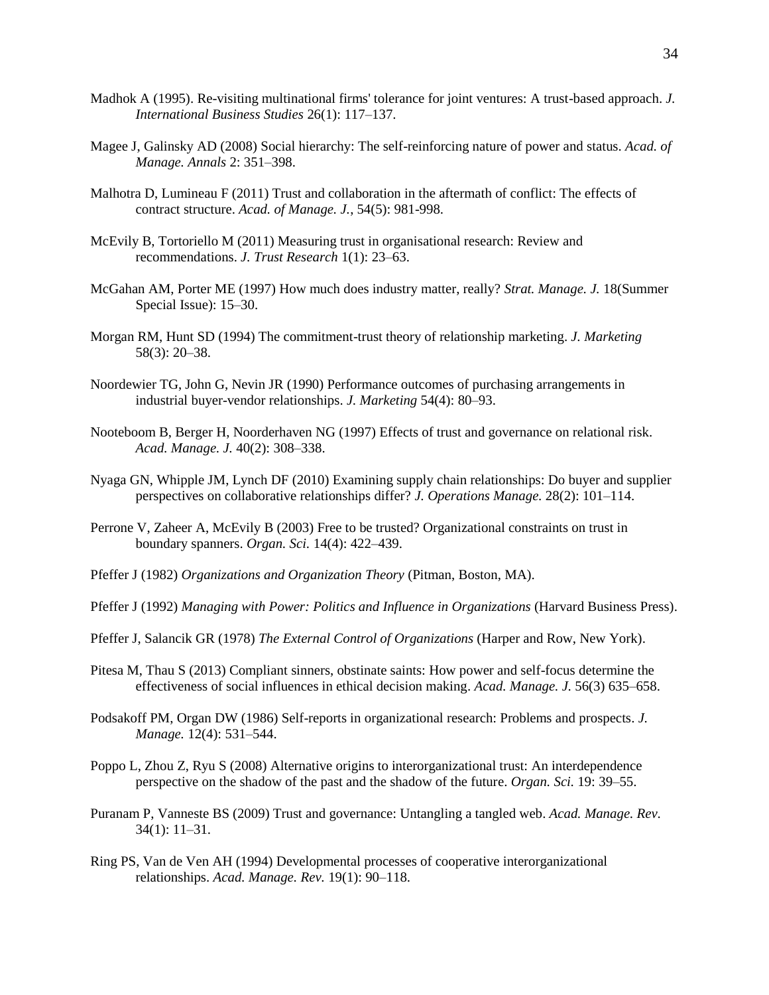- Madhok A (1995). Re-visiting multinational firms' tolerance for joint ventures: A trust-based approach. *J. International Business Studies* 26(1): 117–137.
- Magee J, Galinsky AD (2008) Social hierarchy: The self-reinforcing nature of power and status. *Acad. of Manage. Annals* 2: 351–398.
- Malhotra D, Lumineau F (2011) Trust and collaboration in the aftermath of conflict: The effects of contract structure. *Acad. of Manage. J.*, 54(5): 981-998.
- McEvily B, Tortoriello M (2011) Measuring trust in organisational research: Review and recommendations. *J. Trust Research* 1(1): 23–63.
- McGahan AM, Porter ME (1997) How much does industry matter, really? *Strat. Manage. J.* 18(Summer Special Issue): 15–30.
- Morgan RM, Hunt SD (1994) The commitment-trust theory of relationship marketing. *J. Marketing* 58(3): 20–38.
- Noordewier TG, John G, Nevin JR (1990) Performance outcomes of purchasing arrangements in industrial buyer-vendor relationships. *J. Marketing* 54(4): 80–93.
- Nooteboom B, Berger H, Noorderhaven NG (1997) Effects of trust and governance on relational risk. *Acad. Manage. J.* 40(2): 308–338.
- Nyaga GN, Whipple JM, Lynch DF (2010) Examining supply chain relationships: Do buyer and supplier perspectives on collaborative relationships differ? *J. Operations Manage.* 28(2): 101–114.
- Perrone V, Zaheer A, McEvily B (2003) Free to be trusted? Organizational constraints on trust in boundary spanners. *Organ. Sci.* 14(4): 422–439.
- Pfeffer J (1982) *Organizations and Organization Theory* (Pitman, Boston, MA).
- Pfeffer J (1992) *Managing with Power: Politics and Influence in Organizations* (Harvard Business Press).
- Pfeffer J, Salancik GR (1978) *The External Control of Organizations* (Harper and Row, New York).
- Pitesa M, Thau S (2013) Compliant sinners, obstinate saints: How power and self-focus determine the effectiveness of social influences in ethical decision making. *Acad. Manage. J.* 56(3) 635–658.
- Podsakoff PM, Organ DW (1986) Self-reports in organizational research: Problems and prospects. *J. Manage.* 12(4): 531–544.
- Poppo L, Zhou Z, Ryu S (2008) Alternative origins to interorganizational trust: An interdependence perspective on the shadow of the past and the shadow of the future. *Organ. Sci.* 19: 39–55.
- Puranam P, Vanneste BS (2009) Trust and governance: Untangling a tangled web. *Acad. Manage. Rev.* 34(1): 11–31.
- Ring PS, Van de Ven AH (1994) Developmental processes of cooperative interorganizational relationships. *Acad. Manage. Rev.* 19(1): 90–118.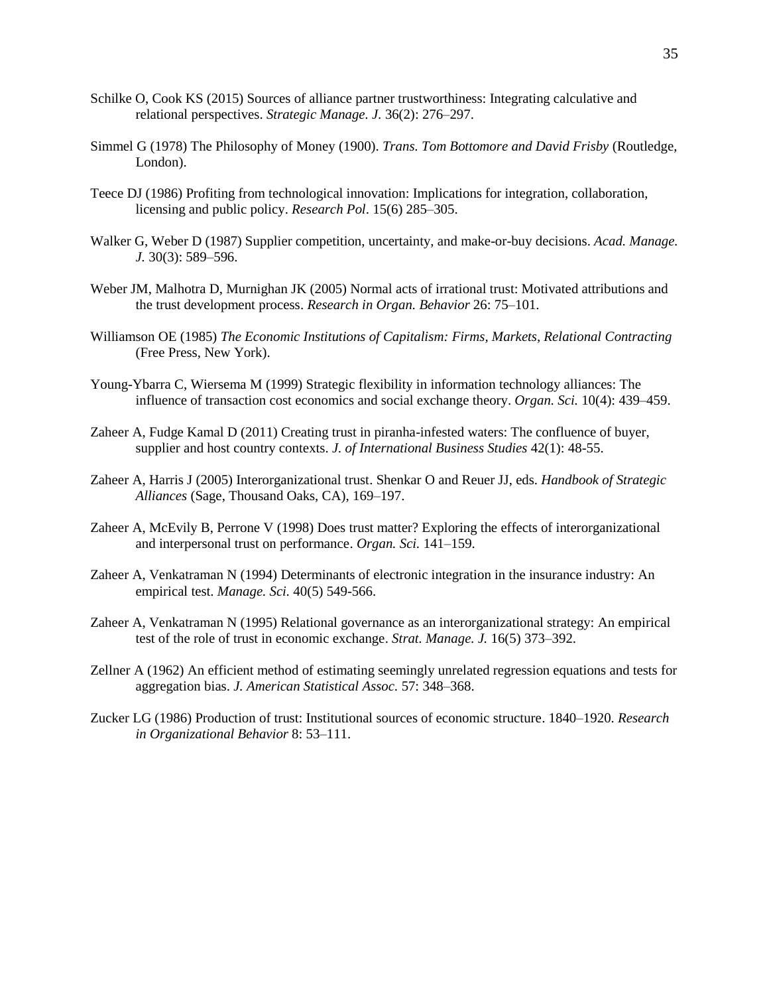- Schilke O, Cook KS (2015) Sources of alliance partner trustworthiness: Integrating calculative and relational perspectives. *Strategic Manage. J.* 36(2): 276–297.
- Simmel G (1978) The Philosophy of Money (1900). *Trans. Tom Bottomore and David Frisby* (Routledge, London).
- Teece DJ (1986) Profiting from technological innovation: Implications for integration, collaboration, licensing and public policy. *Research Pol*. 15(6) 285–305.
- Walker G, Weber D (1987) Supplier competition, uncertainty, and make-or-buy decisions. *Acad. Manage. J.* 30(3): 589–596.
- Weber JM, Malhotra D, Murnighan JK (2005) Normal acts of irrational trust: Motivated attributions and the trust development process. *Research in Organ. Behavior* 26: 75–101.
- Williamson OE (1985) *The Economic Institutions of Capitalism: Firms, Markets, Relational Contracting* (Free Press, New York).
- Young-Ybarra C, Wiersema M (1999) Strategic flexibility in information technology alliances: The influence of transaction cost economics and social exchange theory. *Organ. Sci.* 10(4): 439–459.
- Zaheer A, Fudge Kamal D (2011) Creating trust in piranha-infested waters: The confluence of buyer, supplier and host country contexts. *J. of International Business Studies* 42(1): 48-55.
- Zaheer A, Harris J (2005) Interorganizational trust. Shenkar O and Reuer JJ, eds. *Handbook of Strategic Alliances* (Sage, Thousand Oaks, CA), 169–197.
- Zaheer A, McEvily B, Perrone V (1998) Does trust matter? Exploring the effects of interorganizational and interpersonal trust on performance. *Organ. Sci.* 141–159.
- Zaheer A, Venkatraman N (1994) Determinants of electronic integration in the insurance industry: An empirical test. *Manage. Sci.* 40(5) 549-566.
- Zaheer A, Venkatraman N (1995) Relational governance as an interorganizational strategy: An empirical test of the role of trust in economic exchange. *Strat. Manage. J.* 16(5) 373–392.
- Zellner A (1962) An efficient method of estimating seemingly unrelated regression equations and tests for aggregation bias. *J. American Statistical Assoc.* 57: 348–368.
- Zucker LG (1986) Production of trust: Institutional sources of economic structure. 1840–1920. *Research in Organizational Behavior* 8: 53–111.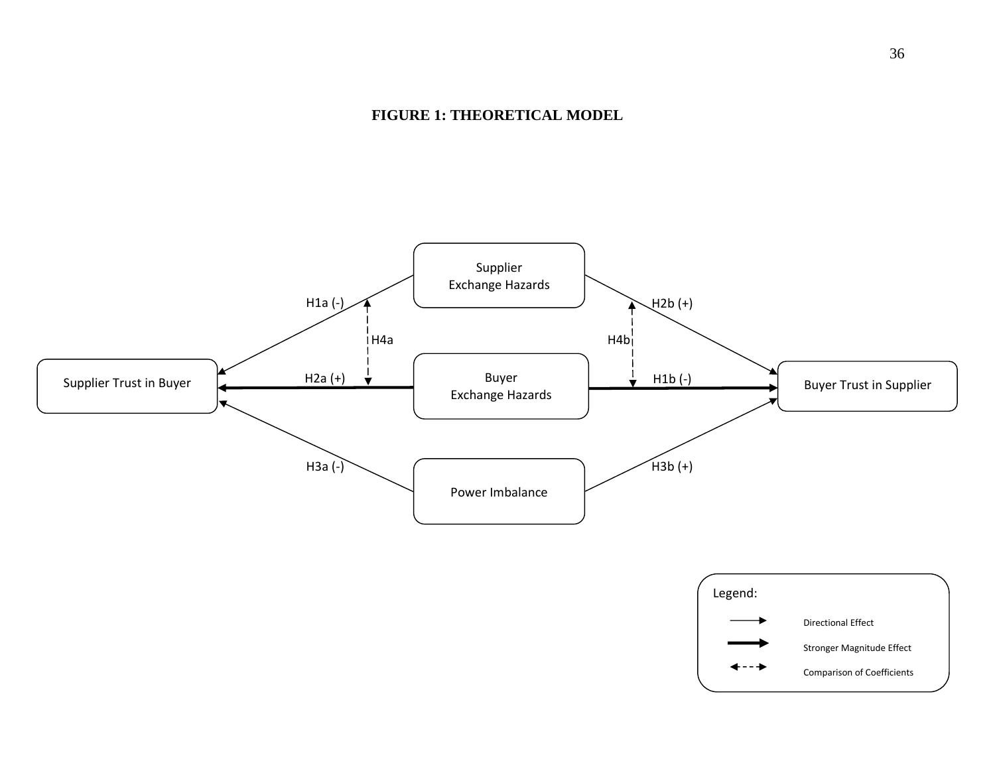## **FIGURE 1: THEORETICAL MODEL**

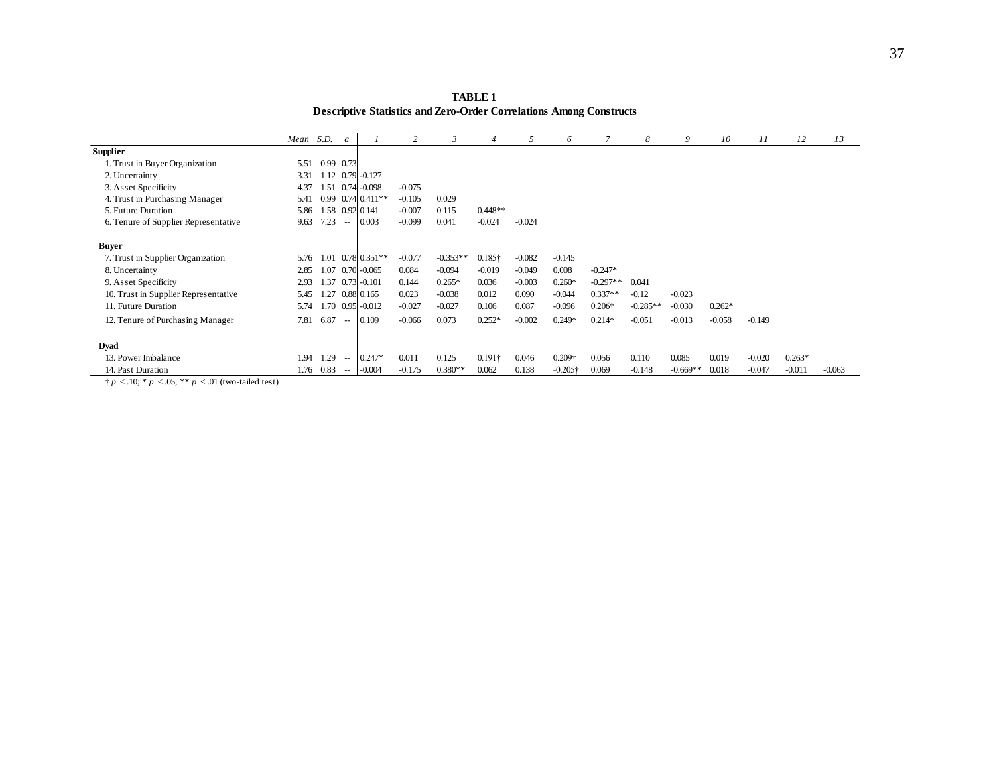| <b>TABLE 1</b>                                                             |
|----------------------------------------------------------------------------|
| <b>Descriptive Statistics and Zero-Order Correlations Among Constructs</b> |

|                                                                            |           |      |                          |                         |          |                | <b>TABLE 1</b> |          |                 |            |            |            |          |          |          |          |
|----------------------------------------------------------------------------|-----------|------|--------------------------|-------------------------|----------|----------------|----------------|----------|-----------------|------------|------------|------------|----------|----------|----------|----------|
| <b>Descriptive Statistics and Zero-Order Correlations Among Constructs</b> |           |      |                          |                         |          |                |                |          |                 |            |            |            |          |          |          |          |
|                                                                            | Mean S.D. |      | $\overline{a}$           |                         | 2        | $\mathfrak{Z}$ | $\overline{4}$ | 5        | 6               |            | 8          | 9          | 10       | II       | 12       | 13       |
| <b>Supplier</b>                                                            |           |      |                          |                         |          |                |                |          |                 |            |            |            |          |          |          |          |
| 1. Trust in Buyer Organization                                             | 5.51      |      | 0.99 0.73                |                         |          |                |                |          |                 |            |            |            |          |          |          |          |
| 2. Uncertainty                                                             | 3.31      |      |                          | 1.12 0.79 -0.127        |          |                |                |          |                 |            |            |            |          |          |          |          |
| 3. Asset Specificity                                                       | 4.37      |      |                          | .51 0.74 -0.098         | $-0.075$ |                |                |          |                 |            |            |            |          |          |          |          |
| 4. Trust in Purchasing Manager                                             | 5.41      |      |                          | $0.99$ $0.74$ $0.411**$ | $-0.105$ | 0.029          |                |          |                 |            |            |            |          |          |          |          |
| 5. Future Duration                                                         | 5.86      |      |                          | 1.58 0.92 0.141         | $-0.007$ | 0.115          | $0.448**$      |          |                 |            |            |            |          |          |          |          |
| 6. Tenure of Supplier Representative                                       | 9.63      | 7.23 | $\sim$                   | 0.003                   | $-0.099$ | 0.041          | $-0.024$       | $-0.024$ |                 |            |            |            |          |          |          |          |
| <b>Buyer</b>                                                               |           |      |                          |                         |          |                |                |          |                 |            |            |            |          |          |          |          |
| 7. Trust in Supplier Organization                                          | 5.76      |      |                          | $1.01$ 0.78 0.351**     | $-0.077$ | $-0.353**$     | 0.185†         | $-0.082$ | $-0.145$        |            |            |            |          |          |          |          |
| 8. Uncertainty                                                             | 2.85      |      |                          | $1.07$ 0.70 $-0.065$    | 0.084    | $-0.094$       | $-0.019$       | $-0.049$ | 0.008           | $-0.247*$  |            |            |          |          |          |          |
| 9. Asset Specificity                                                       | 2.93      |      |                          | 1.37 0.73 -0.101        | 0.144    | $0.265*$       | 0.036          | $-0.003$ | $0.260*$        | $-0.297**$ | 0.041      |            |          |          |          |          |
| 10. Trust in Supplier Representative                                       | 5.45      |      |                          | .27 0.88 0.165          | 0.023    | $-0.038$       | 0.012          | 0.090    | $-0.044$        | $0.337**$  | $-0.12$    | $-0.023$   |          |          |          |          |
| 11. Future Duration                                                        | 5.74      |      |                          | 1.70 0.95 -0.012        | $-0.027$ | $-0.027$       | 0.106          | 0.087    | $-0.096$        | 0.206†     | $-0.285**$ | $-0.030$   | $0.262*$ |          |          |          |
| 12. Tenure of Purchasing Manager                                           | 7.81      | 6.87 | $\overline{\phantom{a}}$ | 0.109                   | $-0.066$ | 0.073          | $0.252*$       | $-0.002$ | $0.249*$        | $0.214*$   | $-0.051$   | $-0.013$   | $-0.058$ | $-0.149$ |          |          |
| <b>Dyad</b>                                                                |           |      |                          |                         |          |                |                |          |                 |            |            |            |          |          |          |          |
| 13. Power Imbalance                                                        | 1.94      | 1.29 | $\sim$                   | $0.247*$                | 0.011    | 0.125          | $0.191\dagger$ | 0.046    | 0.209†          | 0.056      | 0.110      | 0.085      | 0.019    | $-0.020$ | $0.263*$ |          |
| 14. Past Duration                                                          | 1.76      | 0.83 | $\sim$                   | $-0.004$                | $-0.175$ | $0.380**$      | 0.062          | 0.138    | $-0.205\dagger$ | 0.069      | $-0.148$   | $-0.669**$ | 0.018    | $-0.047$ | $-0.011$ | $-0.063$ |

37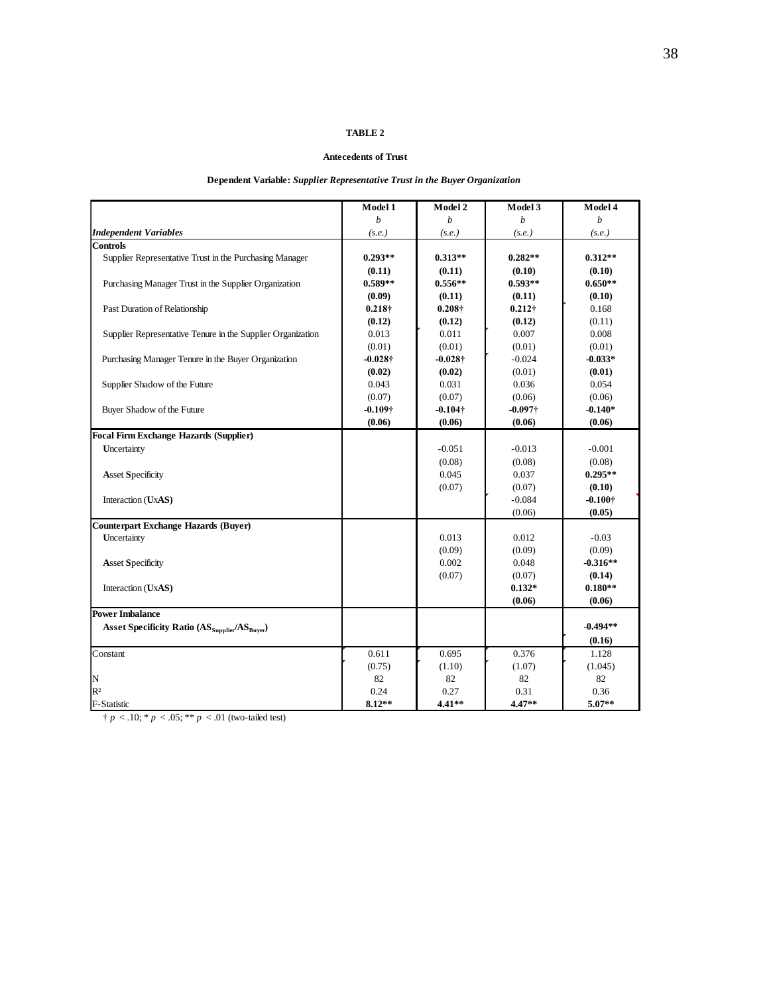#### **Antecedents of Trust**

#### **Dependent Variable:** *Supplier Representative Trust in the Buyer Organization*

|                                                             | Model 1         | Model 2          | Model 3         | Model 4         |
|-------------------------------------------------------------|-----------------|------------------|-----------------|-----------------|
|                                                             | b               | $\boldsymbol{b}$ | h               | b               |
| <b>Independent Variables</b>                                | (s.e.)          | (s.e.)           | (s.e.)          | (s.e.)          |
| <b>Controls</b>                                             |                 |                  |                 |                 |
| Supplier Representative Trust in the Purchasing Manager     | $0.293**$       | $0.313**$        | $0.282**$       | $0.312**$       |
|                                                             | (0.11)          | (0.11)           | (0.10)          | (0.10)          |
| Purchasing Manager Trust in the Supplier Organization       | $0.589**$       | $0.556**$        | $0.593**$       | $0.650**$       |
|                                                             | (0.09)          | (0.11)           | (0.11)          | (0.10)          |
| Past Duration of Relationship                               | $0.218\dagger$  | $0.208\dagger$   | $0.212\dagger$  | 0.168           |
|                                                             | (0.12)          | (0.12)           | (0.12)          | (0.11)          |
| Supplier Representative Tenure in the Supplier Organization | 0.013           | 0.011            | 0.007           | 0.008           |
|                                                             | (0.01)          | (0.01)           | (0.01)          | (0.01)          |
| Purchasing Manager Tenure in the Buyer Organization         | $-0.028\dagger$ | $-0.028 +$       | $-0.024$        | $-0.033*$       |
|                                                             | (0.02)          | (0.02)           | (0.01)          | (0.01)          |
| Supplier Shadow of the Future                               | 0.043           | 0.031            | 0.036           | 0.054           |
|                                                             | (0.07)          | (0.07)           | (0.06)          | (0.06)          |
| Buyer Shadow of the Future                                  | $-0.109\dagger$ | $-0.104\dagger$  | $-0.097\dagger$ | $-0.140*$       |
|                                                             | (0.06)          | (0.06)           | (0.06)          | (0.06)          |
| <b>Focal Firm Exchange Hazards (Supplier)</b>               |                 |                  |                 |                 |
| Uncertainty                                                 |                 | $-0.051$         | $-0.013$        | $-0.001$        |
|                                                             |                 | (0.08)           | (0.08)          | (0.08)          |
| <b>Asset Specificity</b>                                    |                 | 0.045            | 0.037           | $0.295**$       |
|                                                             |                 | (0.07)           | (0.07)          | (0.10)          |
| Interaction (UxAS)                                          |                 |                  | $-0.084$        | $-0.100\dagger$ |
|                                                             |                 |                  | (0.06)          | (0.05)          |
| <b>Counterpart Exchange Hazards (Buyer)</b>                 |                 |                  |                 |                 |
| Uncertainty                                                 |                 | 0.013            | 0.012           | $-0.03$         |
|                                                             |                 | (0.09)           | (0.09)          | (0.09)          |
| <b>Asset Specificity</b>                                    |                 | 0.002            | 0.048           | $-0.316**$      |
|                                                             |                 | (0.07)           | (0.07)          | (0.14)          |
| Interaction (UxAS)                                          |                 |                  | $0.132*$        | $0.180**$       |
|                                                             |                 |                  | (0.06)          | (0.06)          |
| <b>Power Imbalance</b>                                      |                 |                  |                 |                 |
| Asset Specificity Ratio (AS Supplier/AS Buyer)              |                 |                  |                 | $-0.494**$      |
|                                                             |                 |                  |                 | (0.16)          |
| Constant                                                    | 0.611           | 0.695            | 0.376           | 1.128           |
|                                                             | (0.75)          | (1.10)           | (1.07)          | (1.045)         |
| N                                                           | 82              | 82               | 82              | 82              |
| R <sup>2</sup>                                              | 0.24            | 0.27             | 0.31            | 0.36            |
| F-Statistic                                                 | $8.12**$        | $4.41**$         | $4.47**$        | 5.07**          |

 $\uparrow p < .10; * p < .05; ** p < .01$  (two-tailed test)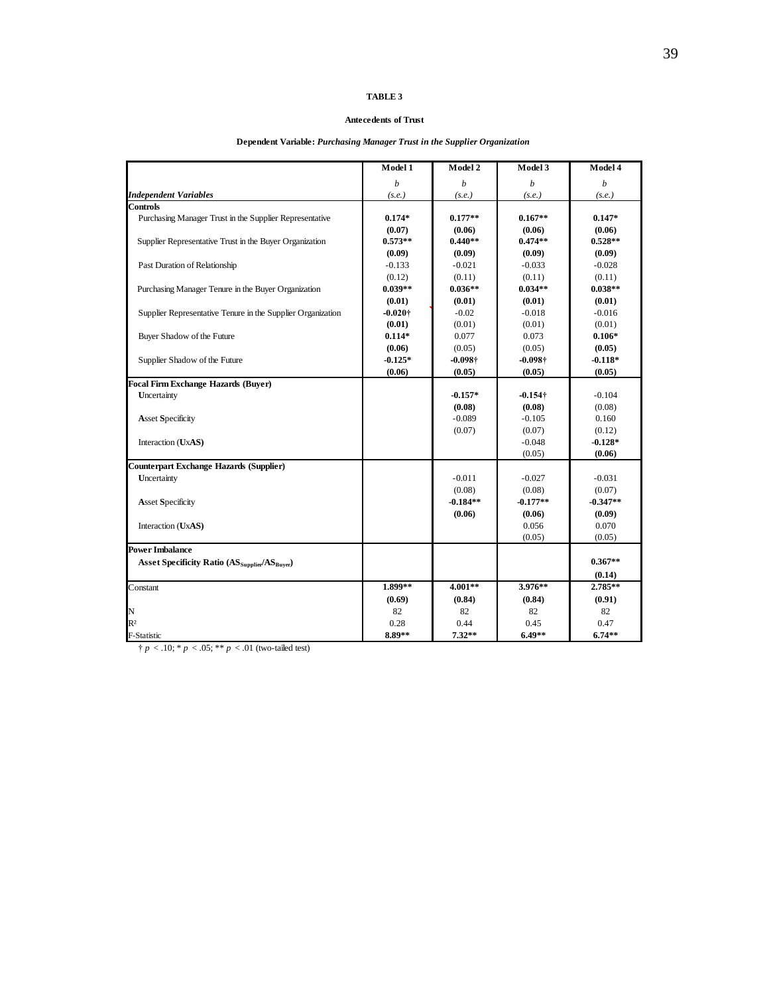#### **TABLE 3**

#### **Antecedents of Trust**

#### **Dependent Variable:** *Purchasing Manager Trust in the Supplier Organization*

|                                                                        | Model 1          | Model 2          | Model 3          | Model 4          |  |
|------------------------------------------------------------------------|------------------|------------------|------------------|------------------|--|
|                                                                        | $\boldsymbol{h}$ | $\boldsymbol{h}$ | $\boldsymbol{h}$ | $\boldsymbol{h}$ |  |
| <b>Independent Variables</b>                                           | (s.e.)           | (s.e.)           | (s.e.)           | (s.e.)           |  |
| Controls                                                               |                  |                  |                  |                  |  |
| Purchasing Manager Trust in the Supplier Representative                | $0.174*$         | $0.177**$        | $0.167**$        | $0.147*$         |  |
|                                                                        | (0.07)           | (0.06)           | (0.06)           | (0.06)           |  |
| Supplier Representative Trust in the Buyer Organization                | $0.573**$        | $0.440**$        | $0.474**$        | $0.528**$        |  |
|                                                                        | (0.09)           | (0.09)           | (0.09)           | (0.09)           |  |
| Past Duration of Relationship                                          | $-0.133$         | $-0.021$         | $-0.033$         | $-0.028$         |  |
|                                                                        | (0.12)           | (0.11)           | (0.11)           | (0.11)           |  |
| Purchasing Manager Tenure in the Buyer Organization                    | $0.039**$        | $0.036**$        | $0.034**$        | $0.038**$        |  |
|                                                                        | (0.01)           | (0.01)           | (0.01)           | (0.01)           |  |
| Supplier Representative Tenure in the Supplier Organization            | $-0.020\dagger$  | $-0.02$          | $-0.018$         | $-0.016$         |  |
|                                                                        | (0.01)           | (0.01)           | (0.01)           | (0.01)           |  |
| Buyer Shadow of the Future                                             | $0.114*$         | 0.077            | 0.073            | $0.106*$         |  |
|                                                                        | (0.06)           | (0.05)           | (0.05)           | (0.05)           |  |
| Supplier Shadow of the Future                                          | $-0.125*$        | $-0.098 +$       | $-0.098\dagger$  | $-0.118*$        |  |
|                                                                        | (0.06)           | (0.05)           | (0.05)           | (0.05)           |  |
| <b>Focal Firm Exchange Hazards (Buyer)</b>                             |                  |                  |                  |                  |  |
| Uncertainty                                                            |                  | $-0.157*$        | $-0.154$ †       | $-0.104$         |  |
|                                                                        |                  | (0.08)           | (0.08)           | (0.08)           |  |
| <b>Asset Specificity</b>                                               |                  | $-0.089$         | $-0.105$         | 0.160            |  |
|                                                                        |                  | (0.07)           | (0.07)           | (0.12)           |  |
| Interaction (UxAS)                                                     |                  |                  | $-0.048$         | $-0.128*$        |  |
|                                                                        |                  |                  | (0.05)           | (0.06)           |  |
| <b>Counterpart Exchange Hazards (Supplier)</b>                         |                  |                  |                  |                  |  |
| Uncertainty                                                            |                  | $-0.011$         | $-0.027$         | $-0.031$         |  |
|                                                                        |                  | (0.08)           | (0.08)           | (0.07)           |  |
| <b>Asset Specificity</b>                                               |                  | $-0.184**$       | $-0.177**$       | $-0.347**$       |  |
|                                                                        |                  | (0.06)           | (0.06)           | (0.09)           |  |
| Interaction (UxAS)                                                     |                  |                  | 0.056            | 0.070            |  |
|                                                                        |                  |                  | (0.05)           | (0.05)           |  |
| <b>Power Imbalance</b>                                                 |                  |                  |                  |                  |  |
| Asset Specificity Ratio (AS <sub>Supplier</sub> /AS <sub>Buyer</sub> ) |                  |                  |                  | $0.367**$        |  |
|                                                                        |                  |                  |                  | (0.14)           |  |
| Constant                                                               | 1.899**          | 4.001**          | 3.976**          | 2.785**          |  |
|                                                                        | (0.69)           | (0.84)           | (0.84)           | (0.91)           |  |
| N                                                                      | 82               | 82               | 82               | 82               |  |
| R <sup>2</sup>                                                         | 0.28             | 0.44             | 0.45             | 0.47             |  |
| F-Statistic                                                            | 8.89**           | $7.32**$         | $6.49**$         | $6.74**$         |  |

†  $p < .10$ ; \*  $p < .05$ ; \* \*  $p < .01$  (two-tailed test)